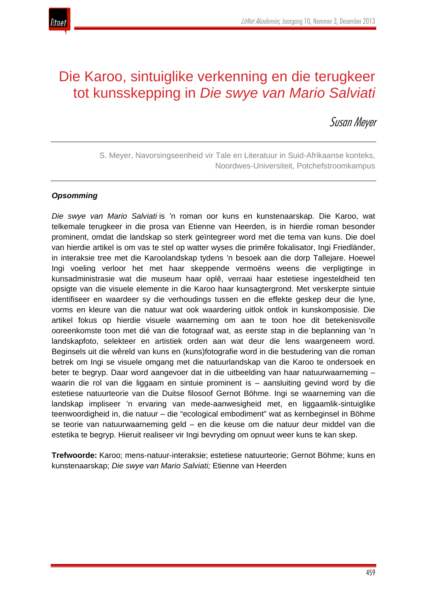

# Die Karoo, sintuiglike verkenning en die terugkeer tot kunsskepping in *Die swye van Mario Salviati*

Susan Meyer

S. Meyer, Navorsingseenheid vir Tale en Literatuur in Suid-Afrikaanse konteks, Noordwes-Universiteit, Potchefstroomkampus

## *Opsomming*

*Die swye van Mario Salviati* is 'n roman oor kuns en kunstenaarskap. Die Karoo, wat telkemale terugkeer in die prosa van Etienne van Heerden, is in hierdie roman besonder prominent, omdat die landskap so sterk geïntegreer word met die tema van kuns. Die doel van hierdie artikel is om vas te stel op watter wyses die primêre fokalisator, Ingi Friedländer, in interaksie tree met die Karoolandskap tydens 'n besoek aan die dorp Tallejare. Hoewel Ingi voeling verloor het met haar skeppende vermoëns weens die verpligtinge in kunsadministrasie wat die museum haar oplê, verraai haar estetiese ingesteldheid ten opsigte van die visuele elemente in die Karoo haar kunsagtergrond. Met verskerpte sintuie identifiseer en waardeer sy die verhoudings tussen en die effekte geskep deur die lyne, vorms en kleure van die natuur wat ook waardering uitlok ontlok in kunskomposisie. Die artikel fokus op hierdie visuele waarneming om aan te toon hoe dit betekenisvolle ooreenkomste toon met dié van die fotograaf wat, as eerste stap in die beplanning van 'n landskapfoto, selekteer en artistiek orden aan wat deur die lens waargeneem word. Beginsels uit die wêreld van kuns en (kuns)fotografie word in die bestudering van die roman betrek om Ingi se visuele omgang met die natuurlandskap van die Karoo te ondersoek en beter te begryp. Daar word aangevoer dat in die uitbeelding van haar natuurwaarneming – waarin die rol van die liggaam en sintuie prominent is – aansluiting gevind word by die estetiese natuurteorie van die Duitse filosoof Gernot Böhme. Ingi se waarneming van die landskap impliseer 'n ervaring van mede-aanwesigheid met, en liggaamlik-sintuiglike teenwoordigheid in, die natuur – die "ecological embodiment" wat as kernbeginsel in Böhme se teorie van natuurwaarneming geld – en die keuse om die natuur deur middel van die estetika te begryp. Hieruit realiseer vir Ingi bevryding om opnuut weer kuns te kan skep.

**Trefwoorde:** Karoo; mens-natuur-interaksie; estetiese natuurteorie; Gernot Böhme; kuns en kunstenaarskap; *Die swye van Mario Salviati;* Etienne van Heerden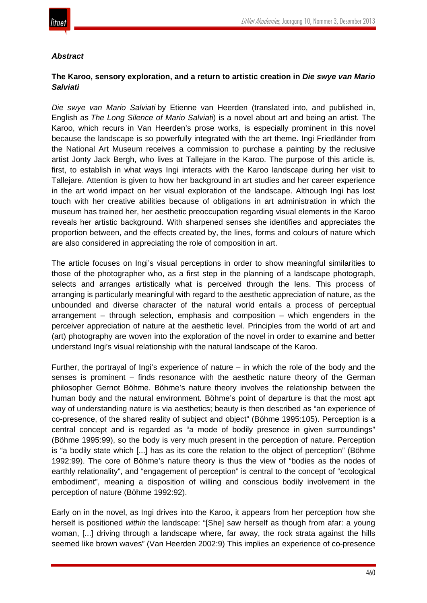

#### *Abstract*

# **The Karoo, sensory exploration, and a return to artistic creation in** *Die swye van Mario Salviati*

*Die swye van Mario Salviati* by Etienne van Heerden (translated into, and published in, English as *The Long Silence of Mario Salviati*) is a novel about art and being an artist. The Karoo, which recurs in Van Heerden's prose works, is especially prominent in this novel because the landscape is so powerfully integrated with the art theme. Ingi Friedländer from the National Art Museum receives a commission to purchase a painting by the reclusive artist Jonty Jack Bergh, who lives at Tallejare in the Karoo. The purpose of this article is, first, to establish in what ways Ingi interacts with the Karoo landscape during her visit to Tallejare. Attention is given to how her background in art studies and her career experience in the art world impact on her visual exploration of the landscape. Although Ingi has lost touch with her creative abilities because of obligations in art administration in which the museum has trained her, her aesthetic preoccupation regarding visual elements in the Karoo reveals her artistic background. With sharpened senses she identifies and appreciates the proportion between, and the effects created by, the lines, forms and colours of nature which are also considered in appreciating the role of composition in art.

The article focuses on Ingi's visual perceptions in order to show meaningful similarities to those of the photographer who, as a first step in the planning of a landscape photograph, selects and arranges artistically what is perceived through the lens. This process of arranging is particularly meaningful with regard to the aesthetic appreciation of nature, as the unbounded and diverse character of the natural world entails a process of perceptual arrangement – through selection, emphasis and composition – which engenders in the perceiver appreciation of nature at the aesthetic level. Principles from the world of art and (art) photography are woven into the exploration of the novel in order to examine and better understand Ingi's visual relationship with the natural landscape of the Karoo.

Further, the portrayal of Ingi's experience of nature – in which the role of the body and the senses is prominent – finds resonance with the aesthetic nature theory of the German philosopher Gernot Böhme. Böhme's nature theory involves the relationship between the human body and the natural environment. Böhme's point of departure is that the most apt way of understanding nature is via aesthetics; beauty is then described as "an experience of co-presence, of the shared reality of subject and object" (Böhme 1995:105). Perception is a central concept and is regarded as "a mode of bodily presence in given surroundings" (Böhme 1995:99), so the body is very much present in the perception of nature. Perception is "a bodily state which [...] has as its core the relation to the object of perception" (Böhme 1992:99). The core of Böhme's nature theory is thus the view of "bodies as the nodes of earthly relationality", and "engagement of perception" is central to the concept of "ecological embodiment", meaning a disposition of willing and conscious bodily involvement in the perception of nature (Böhme 1992:92).

Early on in the novel, as Ingi drives into the Karoo, it appears from her perception how she herself is positioned *within* the landscape: "[She] saw herself as though from afar: a young woman, [...] driving through a landscape where, far away, the rock strata against the hills seemed like brown waves" (Van Heerden 2002:9) This implies an experience of co-presence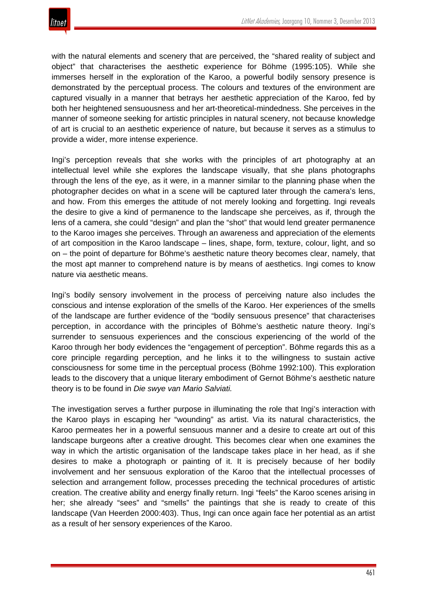

with the natural elements and scenery that are perceived, the "shared reality of subject and object" that characterises the aesthetic experience for Böhme (1995:105). While she immerses herself in the exploration of the Karoo, a powerful bodily sensory presence is demonstrated by the perceptual process. The colours and textures of the environment are captured visually in a manner that betrays her aesthetic appreciation of the Karoo, fed by both her heightened sensuousness and her art-theoretical-mindedness. She perceives in the manner of someone seeking for artistic principles in natural scenery, not because knowledge of art is crucial to an aesthetic experience of nature, but because it serves as a stimulus to provide a wider, more intense experience.

Ingi's perception reveals that she works with the principles of art photography at an intellectual level while she explores the landscape visually, that she plans photographs through the lens of the eye, as it were, in a manner similar to the planning phase when the photographer decides on what in a scene will be captured later through the camera's lens, and how. From this emerges the attitude of not merely looking and forgetting. Ingi reveals the desire to give a kind of permanence to the landscape she perceives, as if, through the lens of a camera, she could "design" and plan the "shot" that would lend greater permanence to the Karoo images she perceives. Through an awareness and appreciation of the elements of art composition in the Karoo landscape – lines, shape, form, texture, colour, light, and so on – the point of departure for Böhme's aesthetic nature theory becomes clear, namely, that the most apt manner to comprehend nature is by means of aesthetics. Ingi comes to know nature via aesthetic means.

Ingi's bodily sensory involvement in the process of perceiving nature also includes the conscious and intense exploration of the smells of the Karoo. Her experiences of the smells of the landscape are further evidence of the "bodily sensuous presence" that characterises perception, in accordance with the principles of Böhme's aesthetic nature theory. Ingi's surrender to sensuous experiences and the conscious experiencing of the world of the Karoo through her body evidences the "engagement of perception". Böhme regards this as a core principle regarding perception, and he links it to the willingness to sustain active consciousness for some time in the perceptual process (Böhme 1992:100). This exploration leads to the discovery that a unique literary embodiment of Gernot Böhme's aesthetic nature theory is to be found in *Die swye van Mario Salviati.*

The investigation serves a further purpose in illuminating the role that Ingi's interaction with the Karoo plays in escaping her "wounding" as artist. Via its natural characteristics, the Karoo permeates her in a powerful sensuous manner and a desire to create art out of this landscape burgeons after a creative drought. This becomes clear when one examines the way in which the artistic organisation of the landscape takes place in her head, as if she desires to make a photograph or painting of it. It is precisely because of her bodily involvement and her sensuous exploration of the Karoo that the intellectual processes of selection and arrangement follow, processes preceding the technical procedures of artistic creation. The creative ability and energy finally return. Ingi "feels" the Karoo scenes arising in her; she already "sees" and "smells" the paintings that she is ready to create of this landscape (Van Heerden 2000:403). Thus, Ingi can once again face her potential as an artist as a result of her sensory experiences of the Karoo.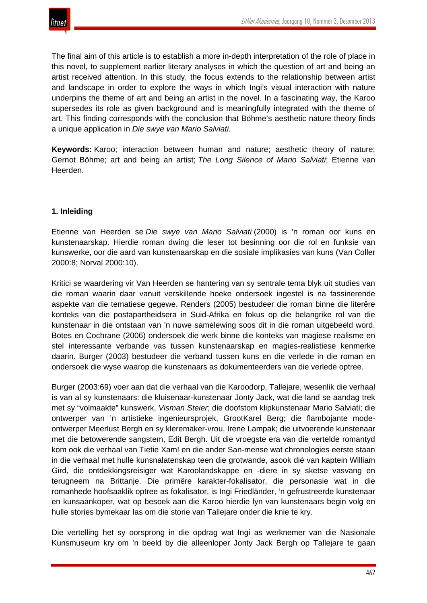

The final aim of this article is to establish a more in-depth interpretation of the role of place in this novel, to supplement earlier literary analyses in which the question of art and being an artist received attention. In this study, the focus extends to the relationship between artist and landscape in order to explore the ways in which Ingi's visual interaction with nature underpins the theme of art and being an artist in the novel. In a fascinating way, the Karoo supersedes its role as given background and is meaningfully integrated with the theme of art. This finding corresponds with the conclusion that Böhme's aesthetic nature theory finds a unique application in *Die swye van Mario Salviati*.

**Keywords:** Karoo; interaction between human and nature; aesthetic theory of nature; Gernot Böhme; art and being an artist; *The Long Silence of Mario Salviati*; Etienne van Heerden.

## **1. Inleiding**

Etienne van Heerden se *Die swye van Mario Salviati* (2000) is 'n roman oor kuns en kunstenaarskap. Hierdie roman dwing die leser tot besinning oor die rol en funksie van kunswerke, oor die aard van kunstenaarskap en die sosiale implikasies van kuns (Van Coller 2000:8; Norval 2000:10).

Kritici se waardering vir Van Heerden se hantering van sy sentrale tema blyk uit studies van die roman waarin daar vanuit verskillende hoeke ondersoek ingestel is na fassinerende aspekte van die tematiese gegewe. Renders (2005) bestudeer die roman binne die literêre konteks van die postapartheidsera in Suid-Afrika en fokus op die belangrike rol van die kunstenaar in die ontstaan van 'n nuwe samelewing soos dit in die roman uitgebeeld word. Botes en Cochrane (2006) ondersoek die werk binne die konteks van magiese realisme en stel interessante verbande vas tussen kunstenaarskap en magies-realistiese kenmerke daarin. Burger (2003) bestudeer die verband tussen kuns en die verlede in die roman en ondersoek die wyse waarop die kunstenaars as dokumenteerders van die verlede optree.

Burger (2003:69) voer aan dat die verhaal van die Karoodorp, Tallejare, wesenlik die verhaal is van al sy kunstenaars: die kluisenaar-kunstenaar Jonty Jack, wat die land se aandag trek met sy "volmaakte" kunswerk, *Visman Steier*; die doofstom klipkunstenaar Mario Salviati; die ontwerper van 'n artistieke ingenieursprojek, GrootKarel Berg; die flambojante modeontwerper Meerlust Bergh en sy kleremaker-vrou, Irene Lampak; die uitvoerende kunstenaar met die betowerende sangstem, Edit Bergh. Uit die vroegste era van die vertelde romantyd kom ook die verhaal van Tietie Xam! en die ander San-mense wat chronologies eerste staan in die verhaal met hulle kunsnalatenskap teen die grotwande, asook dié van kaptein William Gird, die ontdekkingsreisiger wat Karoolandskappe en -diere in sy sketse vasvang en terugneem na Brittanje. Die primêre karakter-fokalisator, die personasie wat in die romanhede hoofsaaklik optree as fokalisator, is Ingi Friedländer, 'n gefrustreerde kunstenaar en kunsaankoper, wat op besoek aan die Karoo hierdie lyn van kunstenaars begin volg en hulle stories bymekaar las om die storie van Tallejare onder die knie te kry.

Die vertelling het sy oorsprong in die opdrag wat Ingi as werknemer van die Nasionale Kunsmuseum kry om 'n beeld by die alleenloper Jonty Jack Bergh op Tallejare te gaan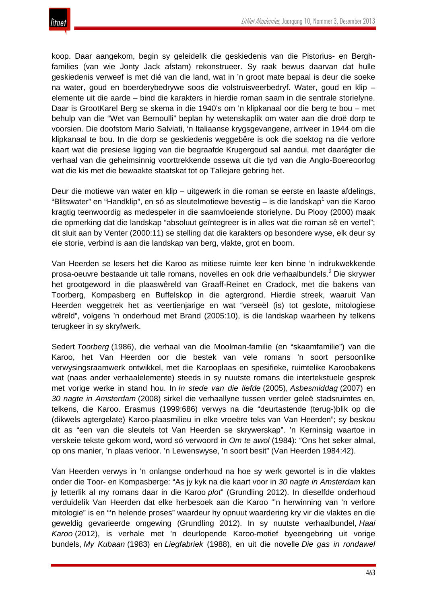

koop. Daar aangekom, begin sy geleidelik die geskiedenis van die Pistorius- en Berghfamilies (van wie Jonty Jack afstam) rekonstrueer. Sy raak bewus daarvan dat hulle geskiedenis verweef is met dié van die land, wat in 'n groot mate bepaal is deur die soeke na water, goud en boerderybedrywe soos die volstruisveerbedryf. Water, goud en klip – elemente uit die aarde – bind die karakters in hierdie roman saam in die sentrale storielyne. Daar is GrootKarel Berg se skema in die 1940's om 'n klipkanaal oor die berg te bou – met behulp van die "Wet van Bernoulli" beplan hy wetenskaplik om water aan die droë dorp te voorsien. Die doofstom Mario Salviati, 'n Italiaanse krygsgevangene, arriveer in 1944 om die klipkanaal te bou. In die dorp se geskiedenis weggebêre is ook die soektog na die verlore kaart wat die presiese ligging van die begraafde Krugergoud sal aandui, met daarágter die verhaal van die geheimsinnig voorttrekkende ossewa uit die tyd van die Anglo-Boereoorlog wat die kis met die bewaakte staatskat tot op Tallejare gebring het.

Deur die motiewe van water en klip – uitgewerk in die roman se eerste en laaste afdelings, "Blitswater" en "Handklip", en só as sleutelmotiewe bevestig – is die landskap<sup>1</sup> van die Karoo kragtig teenwoordig as medespeler in die saamvloeiende storielyne. Du Plooy (2000) maak die opmerking dat die landskap "absoluut geïntegreer is in alles wat die roman sê en vertel"; dit sluit aan by Venter (2000:11) se stelling dat die karakters op besondere wyse, elk deur sy eie storie, verbind is aan die landskap van berg, vlakte, grot en boom.

Van Heerden se lesers het die Karoo as mitiese ruimte leer ken binne 'n indrukwekkende prosa-oeuvre bestaande uit talle romans, novelles en ook drie verhaalbundels.<sup>2</sup> Die skrywer het grootgeword in die plaaswêreld van Graaff-Reinet en Cradock, met die bakens van Toorberg, Kompasberg en Buffelskop in die agtergrond. Hierdie streek, waaruit Van Heerden weggetrek het as veertienjarige en wat "verseël (is) tot geslote, mitologiese wêreld", volgens 'n onderhoud met Brand (2005:10), is die landskap waarheen hy telkens terugkeer in sy skryfwerk.

Sedert *Toorberg* (1986), die verhaal van die Moolman-familie (en "skaamfamilie") van die Karoo, het Van Heerden oor die bestek van vele romans 'n soort persoonlike verwysingsraamwerk ontwikkel, met die Karooplaas en spesifieke, ruimtelike Karoobakens wat (naas ander verhaalelemente) steeds in sy nuutste romans die intertekstuele gesprek met vorige werke in stand hou. In *In stede van die liefde* (2005), *Asbesmiddag* (2007) en *30 nagte in Amsterdam* (2008) sirkel die verhaallyne tussen verder geleë stadsruimtes en, telkens, die Karoo. Erasmus (1999:686) verwys na die "deurtastende (terug-)blik op die (dikwels agtergelate) Karoo-plaasmilieu in elke vroeëre teks van Van Heerden"; sy beskou dit as "een van die sleutels tot Van Heerden se skrywerskap". 'n Kerninsig waartoe in verskeie tekste gekom word, word só verwoord in *Om te awol* (1984): "Ons het seker almal, op ons manier, 'n plaas verloor. 'n Lewenswyse, 'n soort besit" (Van Heerden 1984:42).

Van Heerden verwys in 'n onlangse onderhoud na hoe sy werk gewortel is in die vlaktes onder die Toor- en Kompasberge: "As jy kyk na die kaart voor in *30 nagte in Amsterdam* kan jy letterlik al my romans daar in die Karoo *plot*" (Grundling 2012). In dieselfde onderhoud verduidelik Van Heerden dat elke herbesoek aan die Karoo "'n herwinning van 'n verlore mitologie" is en "'n helende proses" waardeur hy opnuut waardering kry vir die vlaktes en die geweldig gevarieerde omgewing (Grundling 2012). In sy nuutste verhaalbundel, *Haai Karoo* (2012), is verhale met 'n deurlopende Karoo-motief byeengebring uit vorige bundels, *My Kubaan* (1983) en *Liegfabriek* (1988), en uit die novelle *Die gas in rondawel*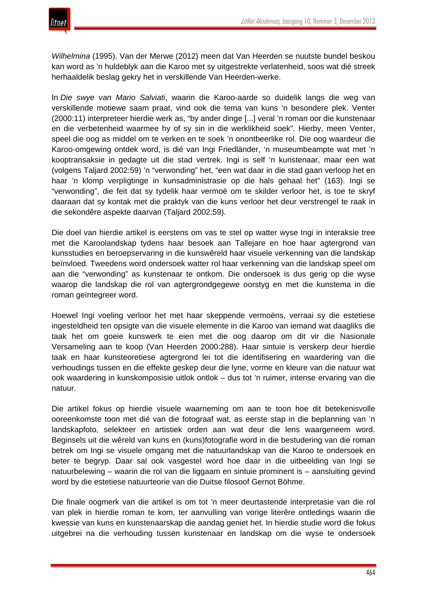*Wilhelmina* (1995). Van der Merwe (2012) meen dat Van Heerden se nuutste bundel beskou kan word as 'n huldeblyk aan die Karoo met sy uitgestrekte verlatenheid, soos wat dié streek herhaaldelik beslag gekry het in verskillende Van Heerden-werke.

In *Die swye van Mario Salviati*, waarin die Karoo-aarde so duidelik langs die weg van verskillende motiewe saam praat, vind ook die tema van kuns 'n besondere plek. Venter (2000:11) interpreteer hierdie werk as, "by ander dinge [...] veral 'n roman oor die kunstenaar en die verbetenheid waarmee hy of sy sin in die werklikheid soek". Hierby, meen Venter, speel die oog as middel om te verken en te soek 'n onontbeerlike rol. Die oog waardeur die Karoo-omgewing ontdek word, is dié van Ingi Friedländer, 'n museumbeampte wat met 'n kooptransaksie in gedagte uit die stad vertrek. Ingi is self 'n kunstenaar, maar een wat (volgens Taljard 2002:59) 'n "verwonding" het, "een wat daar in die stad gaan verloop het en haar 'n klomp verpligtinge in kunsadministrasie op die hals gehaal het" (163). Ingi se "verwonding", die feit dat sy tydelik haar vermoë om te skilder verloor het, is toe te skryf daaraan dat sy kontak met die praktyk van die kuns verloor het deur verstrengel te raak in die sekondêre aspekte daarvan (Taljard 2002:59).

Die doel van hierdie artikel is eerstens om vas te stel op watter wyse Ingi in interaksie tree met die Karoolandskap tydens haar besoek aan Tallejare en hoe haar agtergrond van kunsstudies en beroepservaring in die kunswêreld haar visuele verkenning van die landskap beïnvloed. Tweedens word ondersoek watter rol haar verkenning van die landskap speel om aan die "verwonding" as kunstenaar te ontkom. Die ondersoek is dus gerig op die wyse waarop die landskap die rol van agtergrondgegewe oorstyg en met die kunstema in die roman geïntegreer word.

Hoewel Ingi voeling verloor het met haar skeppende vermoëns, verraai sy die estetiese ingesteldheid ten opsigte van die visuele elemente in die Karoo van iemand wat daagliks die taak het om goeie kunswerk te eien met die oog daarop om dit vir die Nasionale Versameling aan te koop (Van Heerden 2000:288). Haar sintuie is verskerp deur hierdie taak en haar kunsteoretiese agtergrond lei tot die identifisering en waardering van die verhoudings tussen en die effekte geskep deur die lyne, vorme en kleure van die natuur wat ook waardering in kunskomposisie uitlok ontlok – dus tot 'n ruimer, intense ervaring van die natuur.

Die artikel fokus op hierdie visuele waarneming om aan te toon hoe dit betekenisvolle ooreenkomste toon met dié van die fotograaf wat, as eerste stap in die beplanning van 'n landskapfoto, selekteer en artistiek orden aan wat deur die lens waargeneem word. Beginsels uit die wêreld van kuns en (kuns)fotografie word in die bestudering van die roman betrek om Ingi se visuele omgang met die natuurlandskap van die Karoo te ondersoek en beter te begryp. Daar sal ook vasgestel word hoe daar in die uitbeelding van Ingi se natuurbelewing – waarin die rol van die liggaam en sintuie prominent is – aansluiting gevind word by die estetiese natuurteorie van die Duitse filosoof Gernot Böhme.

Die finale oogmerk van die artikel is om tot 'n meer deurtastende interpretasie van die rol van plek in hierdie roman te kom, ter aanvulling van vorige literêre ontledings waarin die kwessie van kuns en kunstenaarskap die aandag geniet het. In hierdie studie word die fokus uitgebrei na die verhouding tussen kunstenaar en landskap om die wyse te ondersoek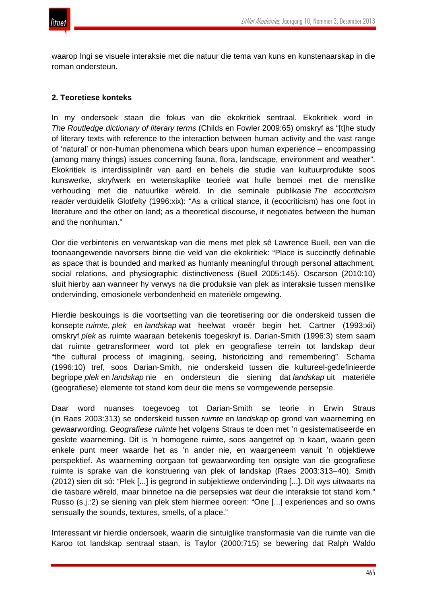

waarop Ingi se visuele interaksie met die natuur die tema van kuns en kunstenaarskap in die roman ondersteun.

#### **2. Teoretiese konteks**

In my ondersoek staan die fokus van die ekokritiek sentraal. Ekokritiek word in *The Routledge dictionary of literary terms* (Childs en Fowler 2009:65) omskryf as "[t]he study of literary texts with reference to the interaction between human activity and the vast range of 'natural' or non-human phenomena which bears upon human experience – encompassing (among many things) issues concerning fauna, flora, landscape, environment and weather". Ekokritiek is interdissiplinêr van aard en behels die studie van kultuurprodukte soos kunswerke, skryfwerk en wetenskaplike teorieë wat hulle bemoei met die menslike verhouding met die natuurlike wêreld. In die seminale publikasie *The ecocriticism reader* verduidelik Glotfelty (1996:xix): "As a critical stance, it (ecocriticism) has one foot in literature and the other on land; as a theoretical discourse, it negotiates between the human and the nonhuman."

Oor die verbintenis en verwantskap van die mens met plek sê Lawrence Buell, een van die toonaangewende navorsers binne die veld van die ekokritiek: "Place is succinctly definable as space that is bounded and marked as humanly meaningful through personal attachment, social relations, and physiographic distinctiveness (Buell 2005:145). Oscarson (2010:10) sluit hierby aan wanneer hy verwys na die produksie van plek as interaksie tussen menslike ondervinding, emosionele verbondenheid en materiële omgewing.

Hierdie beskouings is die voortsetting van die teoretisering oor die onderskeid tussen die konsepte *ruimte*, *plek* en *landskap* wat heelwat vroeër begin het. Cartner (1993:xii) omskryf *plek* as ruimte waaraan betekenis toegeskryf is. Darian-Smith (1996:3) stem saam dat ruimte getransformeer word tot plek en geografiese terrein tot landskap deur "the cultural process of imagining, seeing, historicizing and remembering". Schama (1996:10) tref, soos Darian-Smith, nie onderskeid tussen die kultureel-gedefinieerde begrippe *plek* en *landskap* nie en ondersteun die siening dat *landskap* uit materiële (geografiese) elemente tot stand kom deur die mens se vormgewende persepsie.

Daar word nuanses toegevoeg tot Darian-Smith se teorie in Erwin Straus (in Raes 2003:313) se onderskeid tussen *ruimte* en *landskap* op grond van waarneming en gewaarwording. *Geografiese ruimte* het volgens Straus te doen met 'n gesistematiseerde en geslote waarneming. Dit is 'n homogene ruimte, soos aangetref op 'n kaart, waarin geen enkele punt meer waarde het as 'n ander nie, en waargeneem vanuit 'n objektiewe perspektief. As waarneming oorgaan tot gewaarwording ten opsigte van die geografiese ruimte is sprake van die konstruering van plek of landskap (Raes 2003:313–40). Smith (2012) sien dit só: "Plek [...] is gegrond in subjektiewe ondervinding [...]. Dit wys uitwaarts na die tasbare wêreld, maar binnetoe na die persepsies wat deur die interaksie tot stand kom." Russo (s.j.:2) se siening van plek stem hiermee ooreen: "One [...] experiences and so owns sensually the sounds, textures, smells, of a place."

Interessant vir hierdie ondersoek, waarin die sintuiglike transformasie van die ruimte van die Karoo tot landskap sentraal staan, is Taylor (2000:715) se bewering dat Ralph Waldo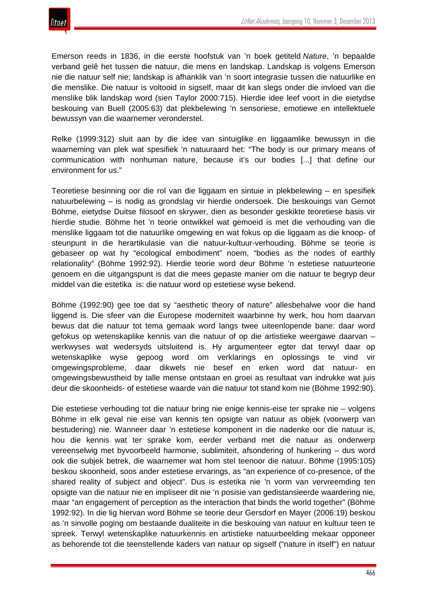Emerson reeds in 1836, in die eerste hoofstuk van 'n boek getiteld *Nature*, 'n bepaalde verband gelê het tussen die natuur, die mens en landskap. Landskap is volgens Emerson nie die natuur self nie; landskap is afhanklik van 'n soort integrasie tussen die natuurlike en die menslike. Die natuur is voltooid in sigself, maar dit kan slegs onder die invloed van die menslike blik landskap word (sien Taylor 2000:715). Hierdie idee leef voort in die eietydse beskouing van Buell (2005:63) dat plekbelewing 'n sensoriese, emotiewe en intellektuele bewussyn van die waarnemer veronderstel.

Relke (1999:312) sluit aan by die idee van sintuiglike en liggaamlike bewussyn in die waarneming van plek wat spesifiek 'n natuuraard het: "The body is our primary means of communication with nonhuman nature, because it's our bodies [...] that define our environment for us."

Teoretiese besinning oor die rol van die liggaam en sintuie in plekbelewing – en spesifiek natuurbelewing – is nodig as grondslag vir hierdie ondersoek. Die beskouings van Gernot Böhme, eietydse Duitse filosoof en skrywer, dien as besonder geskikte teoretiese basis vir hierdie studie. Böhme het 'n teorie ontwikkel wat gemoeid is met die verhouding van die menslike liggaam tot die natuurlike omgewing en wat fokus op die liggaam as die knoop- of steunpunt in die herartikulasie van die natuur-kultuur-verhouding. Böhme se teorie is gebaseer op wat hy "ecological embodiment" noem, "bodies as the nodes of earthly relationality" (Böhme 1992:92). Hierdie teorie word deur Böhme 'n estetiese natuurteorie genoem en die uitgangspunt is dat die mees gepaste manier om die natuur te begryp deur middel van die estetika is: die natuur word op estetiese wyse bekend.

Böhme (1992:90) gee toe dat sy "aesthetic theory of nature" allesbehalwe voor die hand liggend is. Die sfeer van die Europese moderniteit waarbinne hy werk, hou hom daarvan bewus dat die natuur tot tema gemaak word langs twee uiteenlopende bane: daar word gefokus op wetenskaplike kennis van die natuur of op die artistieke weergawe daarvan – werkwyses wat wedersyds uitsluitend is. Hy argumenteer egter dat terwyl daar op wetenskaplike wyse gepoog word om verklarings en oplossings te vind vir omgewingsprobleme, daar dikwels nie besef en erken word dat natuur- en omgewingsbewustheid by talle mense ontstaan en groei as resultaat van indrukke wat juis deur die skoonheids- of estetiese waarde van die natuur tot stand kom nie (Böhme 1992:90).

Die estetiese verhouding tot die natuur bring nie enige kennis-eise ter sprake nie – volgens Böhme in elk geval nie eise van kennis ten opsigte van natuur as objek (voorwerp van bestudering) nie. Wanneer daar 'n estetiese komponent in die nadenke oor die natuur is, hou die kennis wat ter sprake kom, eerder verband met die natuur as onderwerp vereenselwig met byvoorbeeld harmonie, sublimiteit, afsondering of hunkering – dus word ook die subjek betrek, die waarnemer wat hom stel teenoor die natuur. Böhme (1995:105) beskou skoonheid, soos ander estetiese ervarings, as "an experience of co-presence, of the shared reality of subject and object". Dus is estetika nie 'n vorm van vervreemding ten opsigte van die natuur nie en impliseer dit nie 'n posisie van gedistansieerde waardering nie, maar "an engagement of perception as the interaction that binds the world together" (Böhme 1992:92). In die lig hiervan word Böhme se teorie deur Gersdorf en Mayer (2006:19) beskou as 'n sinvolle poging om bestaande dualiteite in die beskouing van natuur en kultuur teen te spreek. Terwyl wetenskaplike natuurkennis en artistieke natuurbeelding mekaar opponeer as behorende tot die teenstellende kaders van natuur op sigself ("nature in itself") en natuur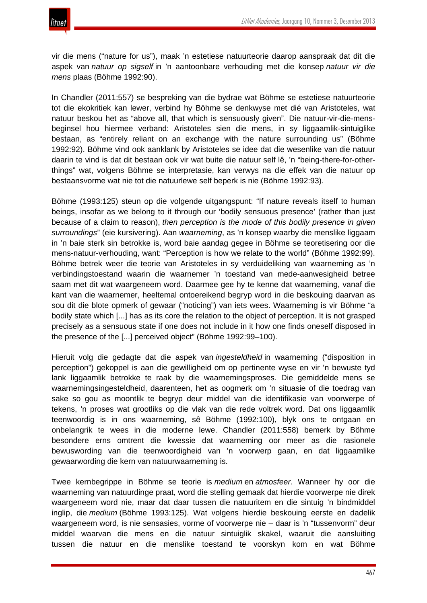

vir die mens ("nature for us"), maak 'n estetiese natuurteorie daarop aanspraak dat dit die aspek van *natuur op sigself* in 'n aantoonbare verhouding met die konsep *natuur vir die mens* plaas (Böhme 1992:90).

In Chandler (2011:557) se bespreking van die bydrae wat Böhme se estetiese natuurteorie tot die ekokritiek kan lewer, verbind hy Böhme se denkwyse met dié van Aristoteles, wat natuur beskou het as "above all, that which is sensuously given". Die natuur-vir-die-mensbeginsel hou hiermee verband: Aristoteles sien die mens, in sy liggaamlik-sintuiglike bestaan, as "entirely reliant on an exchange with the nature surrounding us" (Böhme 1992:92). Böhme vind ook aanklank by Aristoteles se idee dat die wesenlike van die natuur daarin te vind is dat dit bestaan ook vir wat buite die natuur self lê, 'n "being-there-for-otherthings" wat, volgens Böhme se interpretasie, kan verwys na die effek van die natuur op bestaansvorme wat nie tot die natuurlewe self beperk is nie (Böhme 1992:93).

Böhme (1993:125) steun op die volgende uitgangspunt: "If nature reveals itself to human beings, insofar as we belong to it through our 'bodily sensuous presence' (rather than just because of a claim to reason), *then perception is the mode of this bodily presence in given surroundings*" (eie kursivering). Aan *waarneming*, as 'n konsep waarby die menslike liggaam in 'n baie sterk sin betrokke is, word baie aandag gegee in Böhme se teoretisering oor die mens-natuur-verhouding, want: "Perception is how we relate to the world" (Böhme 1992:99). Böhme betrek weer die teorie van Aristoteles in sy verduideliking van waarneming as 'n verbindingstoestand waarin die waarnemer 'n toestand van mede-aanwesigheid betree saam met dit wat waargeneem word. Daarmee gee hy te kenne dat waarneming, vanaf die kant van die waarnemer, heeltemal ontoereikend begryp word in die beskouing daarvan as sou dit die blote opmerk of gewaar ("noticing") van iets wees. Waarneming is vir Böhme "a bodily state which [...] has as its core the relation to the object of perception. It is not grasped precisely as a sensuous state if one does not include in it how one finds oneself disposed in the presence of the [...] perceived object" (Böhme 1992:99–100).

Hieruit volg die gedagte dat die aspek van *ingesteldheid* in waarneming ("disposition in perception") gekoppel is aan die gewilligheid om op pertinente wyse en vir 'n bewuste tyd lank liggaamlik betrokke te raak by die waarnemingsproses. Die gemiddelde mens se waarnemingsingesteldheid, daarenteen, het as oogmerk om 'n situasie of die toedrag van sake so gou as moontlik te begryp deur middel van die identifikasie van voorwerpe of tekens, 'n proses wat grootliks op die vlak van die rede voltrek word. Dat ons liggaamlik teenwoordig is in ons waarneming, sê Böhme (1992:100), blyk ons te ontgaan en onbelangrik te wees in die moderne lewe. Chandler (2011:558) bemerk by Böhme besondere erns omtrent die kwessie dat waarneming oor meer as die rasionele bewuswording van die teenwoordigheid van 'n voorwerp gaan, en dat liggaamlike gewaarwording die kern van natuurwaarneming is.

Twee kernbegrippe in Böhme se teorie is *medium* en *atmosfeer*. Wanneer hy oor die waarneming van natuurdinge praat, word die stelling gemaak dat hierdie voorwerpe nie direk waargeneem word nie, maar dat daar tussen die natuuritem en die sintuig 'n bindmiddel inglip, die *medium* (Böhme 1993:125). Wat volgens hierdie beskouing eerste en dadelik waargeneem word, is nie sensasies, vorme of voorwerpe nie – daar is 'n "tussenvorm" deur middel waarvan die mens en die natuur sintuiglik skakel, waaruit die aansluiting tussen die natuur en die menslike toestand te voorskyn kom en wat Böhme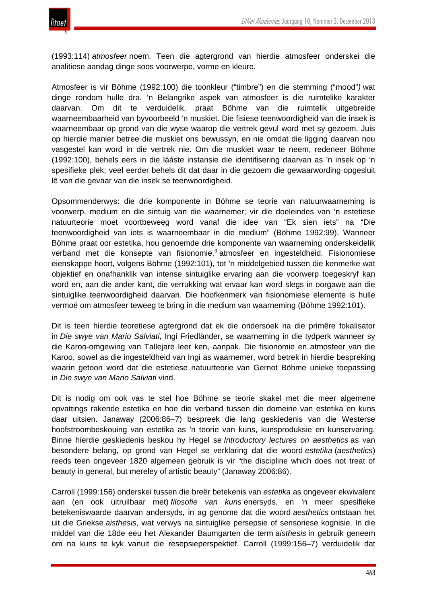(1993:114) *atmosfeer* noem. Teen die agtergrond van hierdie atmosfeer onderskei die analitiese aandag dinge soos voorwerpe, vorme en kleure.

Atmosfeer is vir Böhme (1992:100) die toonkleur ("timbre") en die stemming ("mood"*)* wat dinge rondom hulle dra. 'n Belangrike aspek van atmosfeer is die ruimtelike karakter daarvan. Om dit te verduidelik, praat Böhme van die ruimtelik uitgebreide waarneembaarheid van byvoorbeeld 'n muskiet. Die fisiese teenwoordigheid van die insek is waarneembaar op grond van die wyse waarop die vertrek gevul word met sy gezoem. Juis op hierdie manier betree die muskiet ons bewussyn, en nie omdat die ligging daarvan nou vasgestel kan word in die vertrek nie. Om die muskiet waar te neem, redeneer Böhme (1992:100), behels eers in die lááste instansie die identifisering daarvan as 'n insek op 'n spesifieke plek; veel eerder behels dit dat daar in die gezoem die gewaarwording opgesluit lê van die gevaar van die insek se teenwoordigheid.

Opsommenderwys: die drie komponente in Böhme se teorie van natuurwaarneming is voorwerp, medium en die sintuig van die waarnemer; vir die doeleindes van 'n estetiese natuurteorie moet voortbeweeg word vanaf die idee van "Ek sien iets" na "Die teenwoordigheid van iets is waarneembaar in die medium" (Böhme 1992:99). Wanneer Böhme praat oor estetika, hou genoemde drie komponente van waarneming onderskeidelik verband met die konsepte van fisionomie,<sup>3</sup> atmosfeer en ingesteldheid. Fisionomiese eienskappe hoort, volgens Böhme (1992:101), tot 'n middelgebied tussen die kenmerke wat objektief en onafhanklik van intense sintuiglike ervaring aan die voorwerp toegeskryf kan word en, aan die ander kant, die verrukking wat ervaar kan word slegs in oorgawe aan die sintuiglike teenwoordigheid daarvan. Die hoofkenmerk van fisionomiese elemente is hulle vermoë om atmosfeer teweeg te bring in die medium van waarneming (Böhme 1992:101).

Dit is teen hierdie teoretiese agtergrond dat ek die ondersoek na die primêre fokalisator in *Die swye van Mario Salviati*, Ingi Friedländer, se waarneming in die tydperk wanneer sy die Karoo-omgewing van Tallejare leer ken, aanpak. Die fisionomie en atmosfeer van die Karoo, sowel as die ingesteldheid van Ingi as waarnemer, word betrek in hierdie bespreking waarin getoon word dat die estetiese natuurteorie van Gernot Böhme unieke toepassing in *Die swye van Mario Salviati* vind.

Dit is nodig om ook vas te stel hoe Böhme se teorie skakel met die meer algemene opvattings rakende estetika en hoe die verband tussen die domeine van estetika en kuns daar uitsien. Janaway (2006:86–7) bespreek die lang geskiedenis van die Westerse hoofstroombeskouing van estetika as 'n teorie van kuns, kunsproduksie en kunservaring. Binne hierdie geskiedenis beskou hy Hegel se *Introductory lectures on aesthetics* as van besondere belang, op grond van Hegel se verklaring dat die woord *estetika* (*aesthetics*) reeds teen ongeveer 1820 algemeen gebruik is vir "the discipline which does not treat of beauty in general, but mereley of artistic beauty" (Janaway 2006:86).

Carroll (1999:156) onderskei tussen die breër betekenis van *estetika* as ongeveer ekwivalent aan (en ook uitruilbaar met) *filosofie van kuns* enersyds, en 'n meer spesifieke betekeniswaarde daarvan andersyds, in ag genome dat die woord *aesthetics* ontstaan het uit die Griekse *aisthesis*, wat verwys na sintuiglike persepsie of sensoriese kognisie. In die middel van die 18de eeu het Alexander Baumgarten die term *aisthesis* in gebruik geneem om na kuns te kyk vanuit die resepsieperspektief. Carroll (1999:156–7) verduidelik dat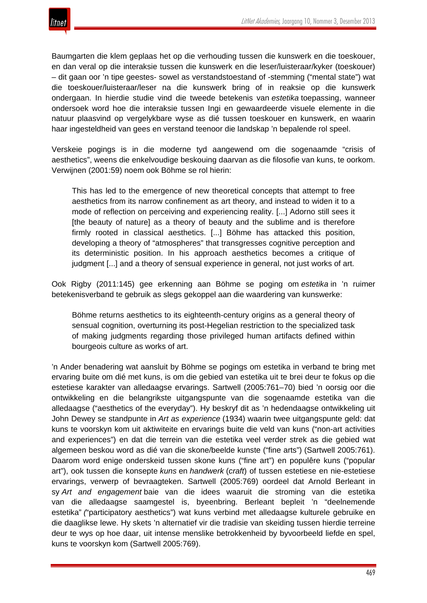Baumgarten die klem geplaas het op die verhouding tussen die kunswerk en die toeskouer, en dan veral op die interaksie tussen die kunswerk en die leser/luisteraar/kyker (toeskouer) – dit gaan oor 'n tipe geestes- sowel as verstandstoestand of -stemming ("mental state") wat die toeskouer/luisteraar/leser na die kunswerk bring of in reaksie op die kunswerk ondergaan. In hierdie studie vind die tweede betekenis van *estetika* toepassing, wanneer ondersoek word hoe die interaksie tussen Ingi en gewaardeerde visuele elemente in die natuur plaasvind op vergelykbare wyse as dié tussen toeskouer en kunswerk, en waarin haar ingesteldheid van gees en verstand teenoor die landskap 'n bepalende rol speel.

Verskeie pogings is in die moderne tyd aangewend om die sogenaamde "crisis of aesthetics", weens die enkelvoudige beskouing daarvan as die filosofie van kuns, te oorkom. Verwijnen (2001:59) noem ook Böhme se rol hierin:

This has led to the emergence of new theoretical concepts that attempt to free aesthetics from its narrow confinement as art theory, and instead to widen it to a mode of reflection on perceiving and experiencing reality. [...] Adorno still sees it [the beauty of nature] as a theory of beauty and the sublime and is therefore firmly rooted in classical aesthetics. [...] Böhme has attacked this position, developing a theory of "atmospheres" that transgresses cognitive perception and its deterministic position. In his approach aesthetics becomes a critique of judgment [...] and a theory of sensual experience in general, not just works of art.

Ook Rigby (2011:145) gee erkenning aan Böhme se poging om *estetika* in 'n ruimer betekenisverband te gebruik as slegs gekoppel aan die waardering van kunswerke:

Böhme returns aesthetics to its eighteenth-century origins as a general theory of sensual cognition, overturning its post-Hegelian restriction to the specialized task of making judgments regarding those privileged human artifacts defined within bourgeois culture as works of art.

'n Ander benadering wat aansluit by Böhme se pogings om estetika in verband te bring met ervaring buite om dié met kuns, is om die gebied van estetika uit te brei deur te fokus op die estetiese karakter van alledaagse ervarings. Sartwell (2005:761–70) bied 'n oorsig oor die ontwikkeling en die belangrikste uitgangspunte van die sogenaamde estetika van die alledaagse ("aesthetics of the everyday"). Hy beskryf dit as 'n hedendaagse ontwikkeling uit John Dewey se standpunte in *Art as experience* (1934) waarin twee uitgangspunte geld: dat kuns te voorskyn kom uit aktiwiteite en ervarings buite die veld van kuns ("non-art activities and experiences") en dat die terrein van die estetika veel verder strek as die gebied wat algemeen beskou word as dié van die skone/beelde kunste ("fine arts") (Sartwell 2005:761). Daarom word enige onderskeid tussen skone kuns ("fine art") en populêre kuns ("popular art"), ook tussen die konsepte *kuns* en *handwerk* (*craft*) of tussen estetiese en nie-estetiese ervarings, verwerp of bevraagteken. Sartwell (2005:769) oordeel dat Arnold Berleant in sy *Art and engagement* baie van die idees waaruit die stroming van die estetika van die alledaagse saamgestel is, byeenbring. Berleant bepleit 'n "deelnemende estetika" *(*"participatory aesthetics") wat kuns verbind met alledaagse kulturele gebruike en die daaglikse lewe. Hy skets 'n alternatief vir die tradisie van skeiding tussen hierdie terreine deur te wys op hoe daar, uit intense menslike betrokkenheid by byvoorbeeld liefde en spel, kuns te voorskyn kom (Sartwell 2005:769).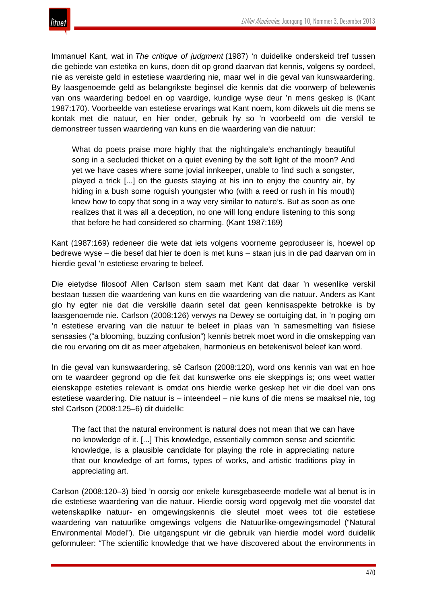Immanuel Kant, wat in *The critique of judgment* (1987) 'n duidelike onderskeid tref tussen die gebiede van estetika en kuns, doen dit op grond daarvan dat kennis, volgens sy oordeel, nie as vereiste geld in estetiese waardering nie, maar wel in die geval van kunswaardering. By laasgenoemde geld as belangrikste beginsel die kennis dat die voorwerp of belewenis van ons waardering bedoel en op vaardige, kundige wyse deur 'n mens geskep is (Kant 1987:170). Voorbeelde van estetiese ervarings wat Kant noem, kom dikwels uit die mens se kontak met die natuur, en hier onder, gebruik hy so 'n voorbeeld om die verskil te demonstreer tussen waardering van kuns en die waardering van die natuur:

What do poets praise more highly that the nightingale's enchantingly beautiful song in a secluded thicket on a quiet evening by the soft light of the moon? And yet we have cases where some jovial innkeeper, unable to find such a songster, played a trick [...] on the guests staying at his inn to enjoy the country air, by hiding in a bush some roguish youngster who (with a reed or rush in his mouth) knew how to copy that song in a way very similar to nature's. But as soon as one realizes that it was all a deception, no one will long endure listening to this song that before he had considered so charming. (Kant 1987:169)

Kant (1987:169) redeneer die wete dat iets volgens voorneme geproduseer is, hoewel op bedrewe wyse – die besef dat hier te doen is met kuns – staan juis in die pad daarvan om in hierdie geval 'n estetiese ervaring te beleef.

Die eietydse filosoof Allen Carlson stem saam met Kant dat daar 'n wesenlike verskil bestaan tussen die waardering van kuns en die waardering van die natuur. Anders as Kant glo hy egter nie dat die verskille daarin setel dat geen kennisaspekte betrokke is by laasgenoemde nie. Carlson (2008:126) verwys na Dewey se oortuiging dat, in 'n poging om 'n estetiese ervaring van die natuur te beleef in plaas van 'n samesmelting van fisiese sensasies ("a blooming, buzzing confusion") kennis betrek moet word in die omskepping van die rou ervaring om dit as meer afgebaken, harmonieus en betekenisvol beleef kan word.

In die geval van kunswaardering, sê Carlson (2008:120), word ons kennis van wat en hoe om te waardeer gegrond op die feit dat kunswerke ons eie skeppings is; ons weet watter eienskappe esteties relevant is omdat ons hierdie werke geskep het vir die doel van ons estetiese waardering. Die natuur is – inteendeel – nie kuns of die mens se maaksel nie, tog stel Carlson (2008:125–6) dit duidelik:

The fact that the natural environment is natural does not mean that we can have no knowledge of it. [...] This knowledge, essentially common sense and scientific knowledge, is a plausible candidate for playing the role in appreciating nature that our knowledge of art forms, types of works, and artistic traditions play in appreciating art.

Carlson (2008:120–3) bied 'n oorsig oor enkele kunsgebaseerde modelle wat al benut is in die estetiese waardering van die natuur. Hierdie oorsig word opgevolg met die voorstel dat wetenskaplike natuur- en omgewingskennis die sleutel moet wees tot die estetiese waardering van natuurlike omgewings volgens die Natuurlike-omgewingsmodel ("Natural Environmental Model"). Die uitgangspunt vir die gebruik van hierdie model word duidelik geformuleer: "The scientific knowledge that we have discovered about the environments in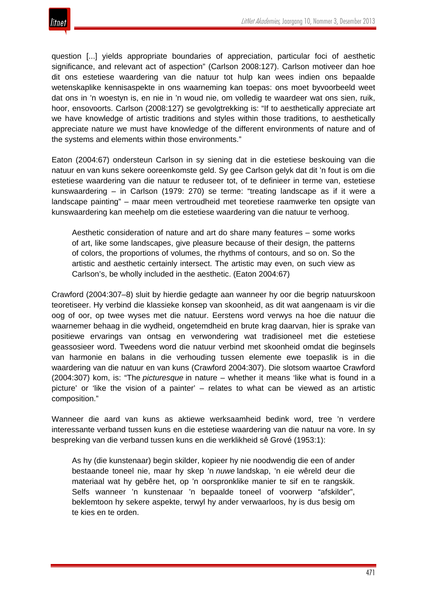question [...] yields appropriate boundaries of appreciation, particular foci of aesthetic significance, and relevant act of aspection" (Carlson 2008:127). Carlson motiveer dan hoe dit ons estetiese waardering van die natuur tot hulp kan wees indien ons bepaalde wetenskaplike kennisaspekte in ons waarneming kan toepas: ons moet byvoorbeeld weet dat ons in 'n woestyn is, en nie in 'n woud nie, om volledig te waardeer wat ons sien, ruik, hoor, ensovoorts. Carlson (2008:127) se gevolgtrekking is: "If to aesthetically appreciate art we have knowledge of artistic traditions and styles within those traditions, to aesthetically appreciate nature we must have knowledge of the different environments of nature and of the systems and elements within those environments."

Eaton (2004:67) ondersteun Carlson in sy siening dat in die estetiese beskouing van die natuur en van kuns sekere ooreenkomste geld. Sy gee Carlson gelyk dat dit 'n fout is om die estetiese waardering van die natuur te reduseer tot, of te definieer in terme van, estetiese kunswaardering – in Carlson (1979: 270) se terme: "treating landscape as if it were a landscape painting" – maar meen vertroudheid met teoretiese raamwerke ten opsigte van kunswaardering kan meehelp om die estetiese waardering van die natuur te verhoog.

Aesthetic consideration of nature and art do share many features – some works of art, like some landscapes, give pleasure because of their design, the patterns of colors, the proportions of volumes, the rhythms of contours, and so on. So the artistic and aesthetic certainly intersect. The artistic may even, on such view as Carlson's, be wholly included in the aesthetic. (Eaton 2004:67)

Crawford (2004:307–8) sluit by hierdie gedagte aan wanneer hy oor die begrip natuurskoon teoretiseer. Hy verbind die klassieke konsep van skoonheid, as dit wat aangenaam is vir die oog of oor, op twee wyses met die natuur. Eerstens word verwys na hoe die natuur die waarnemer behaag in die wydheid, ongetemdheid en brute krag daarvan, hier is sprake van positiewe ervarings van ontsag en verwondering wat tradisioneel met die estetiese geassosieer word. Tweedens word die natuur verbind met skoonheid omdat die beginsels van harmonie en balans in die verhouding tussen elemente ewe toepaslik is in die waardering van die natuur en van kuns (Crawford 2004:307). Die slotsom waartoe Crawford (2004:307) kom, is: "The *picturesque* in nature – whether it means 'like what is found in a picture' or 'like the vision of a painter' – relates to what can be viewed as an artistic composition."

Wanneer die aard van kuns as aktiewe werksaamheid bedink word, tree 'n verdere interessante verband tussen kuns en die estetiese waardering van die natuur na vore. In sy bespreking van die verband tussen kuns en die werklikheid sê Grové (1953:1):

As hy (die kunstenaar) begin skilder, kopieer hy nie noodwendig die een of ander bestaande toneel nie, maar hy skep 'n *nuwe* landskap, 'n eie wêreld deur die materiaal wat hy gebêre het, op 'n oorspronklike manier te sif en te rangskik. Selfs wanneer 'n kunstenaar 'n bepaalde toneel of voorwerp "afskilder", beklemtoon hy sekere aspekte, terwyl hy ander verwaarloos, hy is dus besig om te kies en te orden.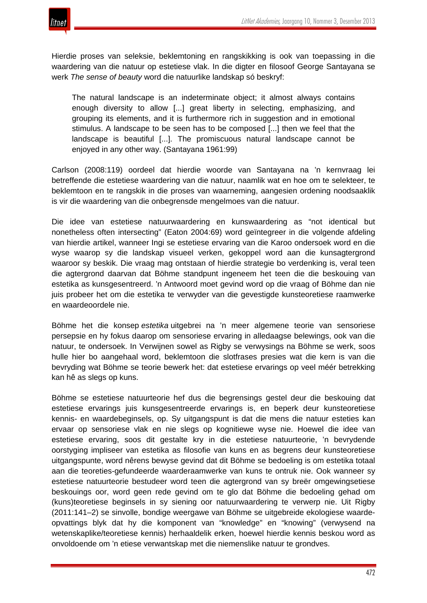

Hierdie proses van seleksie, beklemtoning en rangskikking is ook van toepassing in die waardering van die natuur op estetiese vlak. In die digter en filosoof George Santayana se werk *The sense of beauty* word die natuurlike landskap só beskryf:

The natural landscape is an indeterminate object; it almost always contains enough diversity to allow [...] great liberty in selecting, emphasizing, and grouping its elements, and it is furthermore rich in suggestion and in emotional stimulus. A landscape to be seen has to be composed [...] then we feel that the landscape is beautiful [...]. The promiscuous natural landscape cannot be enjoyed in any other way. (Santayana 1961:99)

Carlson (2008:119) oordeel dat hierdie woorde van Santayana na 'n kernvraag lei betreffende die estetiese waardering van die natuur, naamlik wat en hoe om te selekteer, te beklemtoon en te rangskik in die proses van waarneming, aangesien ordening noodsaaklik is vir die waardering van die onbegrensde mengelmoes van die natuur.

Die idee van estetiese natuurwaardering en kunswaardering as "not identical but nonetheless often intersecting" (Eaton 2004:69) word geïntegreer in die volgende afdeling van hierdie artikel, wanneer Ingi se estetiese ervaring van die Karoo ondersoek word en die wyse waarop sy die landskap visueel verken, gekoppel word aan die kunsagtergrond waaroor sy beskik. Die vraag mag ontstaan of hierdie strategie bo verdenking is, veral teen die agtergrond daarvan dat Böhme standpunt ingeneem het teen die die beskouing van estetika as kunsgesentreerd. 'n Antwoord moet gevind word op die vraag of Böhme dan nie juis probeer het om die estetika te verwyder van die gevestigde kunsteoretiese raamwerke en waardeoordele nie.

Böhme het die konsep *estetika* uitgebrei na 'n meer algemene teorie van sensoriese persepsie en hy fokus daarop om sensoriese ervaring in alledaagse belewings, ook van die natuur, te ondersoek. In Verwijnen sowel as Rigby se verwysings na Böhme se werk, soos hulle hier bo aangehaal word, beklemtoon die slotfrases presies wat die kern is van die bevryding wat Böhme se teorie bewerk het: dat estetiese ervarings op veel méér betrekking kan hê as slegs op kuns.

Böhme se estetiese natuurteorie hef dus die begrensings gestel deur die beskouing dat estetiese ervarings juis kunsgesentreerde ervarings is, en beperk deur kunsteoretiese kennis- en waardebeginsels, op. Sy uitgangspunt is dat die mens die natuur esteties kan ervaar op sensoriese vlak en nie slegs op kognitiewe wyse nie. Hoewel die idee van estetiese ervaring, soos dit gestalte kry in die estetiese natuurteorie, 'n bevrydende oorstyging impliseer van estetika as filosofie van kuns en as begrens deur kunsteoretiese uitgangspunte, word nêrens bewyse gevind dat dit Böhme se bedoeling is om estetika totaal aan die teoreties-gefundeerde waarderaamwerke van kuns te ontruk nie. Ook wanneer sy estetiese natuurteorie bestudeer word teen die agtergrond van sy breër omgewingsetiese beskouings oor, word geen rede gevind om te glo dat Böhme die bedoeling gehad om (kuns)teoretiese beginsels in sy siening oor natuurwaardering te verwerp nie. Uit Rigby (2011:141–2) se sinvolle, bondige weergawe van Böhme se uitgebreide ekologiese waardeopvattings blyk dat hy die komponent van "knowledge" en "knowing" (verwysend na wetenskaplike/teoretiese kennis) herhaaldelik erken, hoewel hierdie kennis beskou word as onvoldoende om 'n etiese verwantskap met die niemenslike natuur te grondves.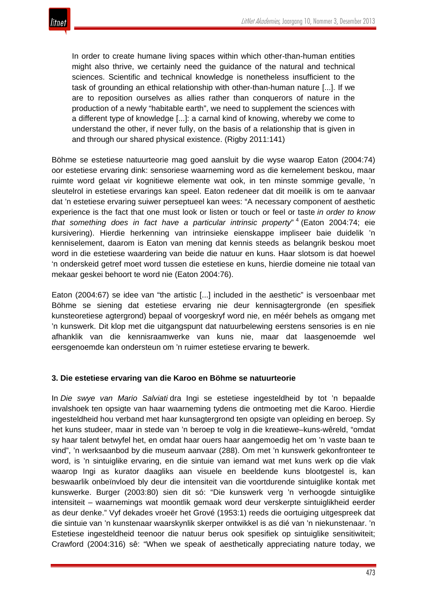

In order to create humane living spaces within which other-than-human entities might also thrive, we certainly need the guidance of the natural and technical sciences. Scientific and technical knowledge is nonetheless insufficient to the task of grounding an ethical relationship with other-than-human nature [...]. If we are to reposition ourselves as allies rather than conquerors of nature in the production of a newly "habitable earth", we need to supplement the sciences with a different type of knowledge [...]: a carnal kind of knowing, whereby we come to understand the other, if never fully, on the basis of a relationship that is given in and through our shared physical existence. (Rigby 2011:141)

Böhme se estetiese natuurteorie mag goed aansluit by die wyse waarop Eaton (2004:74) oor estetiese ervaring dink: sensoriese waarneming word as die kernelement beskou, maar ruimte word gelaat vir kognitiewe elemente wat ook, in ten minste sommige gevalle, 'n sleutelrol in estetiese ervarings kan speel. Eaton redeneer dat dit moeilik is om te aanvaar dat 'n estetiese ervaring suiwer perseptueel kan wees: "A necessary component of aesthetic experience is the fact that one must look or listen or touch or feel or taste *in order to know that something does in fact have a particular intrinsic property*" <sup>4</sup> (Eaton 2004:74; eie kursivering). Hierdie herkenning van intrinsieke eienskappe impliseer baie duidelik 'n kenniselement, daarom is Eaton van mening dat kennis steeds as belangrik beskou moet word in die estetiese waardering van beide die natuur en kuns. Haar slotsom is dat hoewel 'n onderskeid getref moet word tussen die estetiese en kuns, hierdie domeine nie totaal van mekaar geskei behoort te word nie (Eaton 2004:76).

Eaton (2004:67) se idee van "the artistic [...] included in the aesthetic" is versoenbaar met Böhme se siening dat estetiese ervaring nie deur kennisagtergronde (en spesifiek kunsteoretiese agtergrond) bepaal of voorgeskryf word nie, en méér behels as omgang met 'n kunswerk. Dit klop met die uitgangspunt dat natuurbelewing eerstens sensories is en nie afhanklik van die kennisraamwerke van kuns nie, maar dat laasgenoemde wel eersgenoemde kan ondersteun om 'n ruimer estetiese ervaring te bewerk.

## **3. Die estetiese ervaring van die Karoo en Böhme se natuurteorie**

In *Die swye van Mario Salviati* dra Ingi se estetiese ingesteldheid by tot 'n bepaalde invalshoek ten opsigte van haar waarneming tydens die ontmoeting met die Karoo. Hierdie ingesteldheid hou verband met haar kunsagtergrond ten opsigte van opleiding en beroep. Sy het kuns studeer, maar in stede van 'n beroep te volg in die kreatiewe–kuns-wêreld, "omdat sy haar talent betwyfel het, en omdat haar ouers haar aangemoedig het om 'n vaste baan te vind", 'n werksaanbod by die museum aanvaar (288). Om met 'n kunswerk gekonfronteer te word, is 'n sintuiglike ervaring, en die sintuie van iemand wat met kuns werk op die vlak waarop Ingi as kurator daagliks aan visuele en beeldende kuns blootgestel is, kan beswaarlik onbeïnvloed bly deur die intensiteit van die voortdurende sintuiglike kontak met kunswerke. Burger (2003:80) sien dit só: "Die kunswerk verg 'n verhoogde sintuiglike intensiteit – waarnemings wat moontlik gemaak word deur verskerpte sintuiglikheid eerder as deur denke." Vyf dekades vroeër het Grové (1953:1) reeds die oortuiging uitgespreek dat die sintuie van 'n kunstenaar waarskynlik skerper ontwikkel is as dié van 'n niekunstenaar. 'n Estetiese ingesteldheid teenoor die natuur berus ook spesifiek op sintuiglike sensitiwiteit; Crawford (2004:316) sê: "When we speak of aesthetically appreciating nature today, we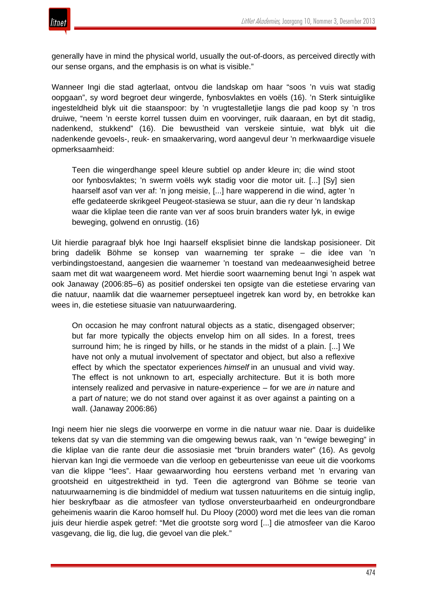

generally have in mind the physical world, usually the out-of-doors, as perceived directly with our sense organs, and the emphasis is on what is visible."

Wanneer Ingi die stad agterlaat, ontvou die landskap om haar "soos 'n vuis wat stadig oopgaan", sy word begroet deur wingerde, fynbosvlaktes en voëls (16). 'n Sterk sintuiglike ingesteldheid blyk uit die staanspoor: by 'n vrugtestalletjie langs die pad koop sy 'n tros druiwe, "neem 'n eerste korrel tussen duim en voorvinger, ruik daaraan, en byt dit stadig, nadenkend, stukkend" (16). Die bewustheid van verskeie sintuie, wat blyk uit die nadenkende gevoels-, reuk- en smaakervaring, word aangevul deur 'n merkwaardige visuele opmerksaamheid:

Teen die wingerdhange speel kleure subtiel op ander kleure in; die wind stoot oor fynbosvlaktes; 'n swerm voëls wyk stadig voor die motor uit. [...] [Sy] sien haarself asof van ver af: 'n jong meisie, [...] hare wapperend in die wind, agter 'n effe gedateerde skrikgeel Peugeot-stasiewa se stuur, aan die ry deur 'n landskap waar die kliplae teen die rante van ver af soos bruin branders water lyk, in ewige beweging, golwend en onrustig. (16)

Uit hierdie paragraaf blyk hoe Ingi haarself eksplisiet binne die landskap posisioneer. Dit bring dadelik Böhme se konsep van waarneming ter sprake – die idee van 'n verbindingstoestand, aangesien die waarnemer 'n toestand van medeaanwesigheid betree saam met dit wat waargeneem word. Met hierdie soort waarneming benut Ingi 'n aspek wat ook Janaway (2006:85–6) as positief onderskei ten opsigte van die estetiese ervaring van die natuur, naamlik dat die waarnemer perseptueel ingetrek kan word by, en betrokke kan wees in, die estetiese situasie van natuurwaardering.

On occasion he may confront natural objects as a static, disengaged observer; but far more typically the objects envelop him on all sides. In a forest, trees surround him; he is ringed by hills, or he stands in the midst of a plain. [...] We have not only a mutual involvement of spectator and object, but also a reflexive effect by which the spectator experiences *himself* in an unusual and vivid way. The effect is not unknown to art, especially architecture. But it is both more intensely realized and pervasive in nature-experience – for we are *in* nature and a part *of* nature; we do not stand over against it as over against a painting on a wall. (Janaway 2006:86)

Ingi neem hier nie slegs die voorwerpe en vorme in die natuur waar nie. Daar is duidelike tekens dat sy van die stemming van die omgewing bewus raak, van 'n "ewige beweging" in die kliplae van die rante deur die assosiasie met "bruin branders water" (16). As gevolg hiervan kan Ingi die vermoede van die verloop en gebeurtenisse van eeue uit die voorkoms van die klippe "lees". Haar gewaarwording hou eerstens verband met 'n ervaring van grootsheid en uitgestrektheid in tyd. Teen die agtergrond van Böhme se teorie van natuurwaarneming is die bindmiddel of medium wat tussen natuuritems en die sintuig inglip, hier beskryfbaar as die atmosfeer van tydlose onversteurbaarheid en ondeurgrondbare geheimenis waarin die Karoo homself hul. Du Plooy (2000) word met die lees van die roman juis deur hierdie aspek getref: "Met die grootste sorg word [...] die atmosfeer van die Karoo vasgevang, die lig, die lug, die gevoel van die plek."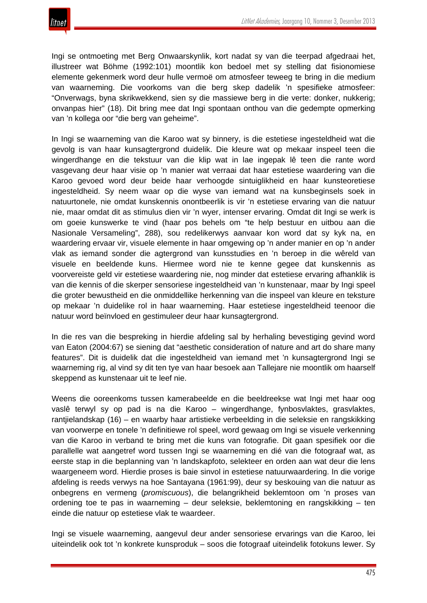Ingi se ontmoeting met Berg Onwaarskynlik, kort nadat sy van die teerpad afgedraai het, illustreer wat Böhme (1992:101) moontlik kon bedoel met sy stelling dat fisionomiese elemente gekenmerk word deur hulle vermoë om atmosfeer teweeg te bring in die medium van waarneming. Die voorkoms van die berg skep dadelik 'n spesifieke atmosfeer: "Onverwags, byna skrikwekkend, sien sy die massiewe berg in die verte: donker, nukkerig; onvanpas hier" (18). Dit bring mee dat Ingi spontaan onthou van die gedempte opmerking van 'n kollega oor "die berg van geheime".

In Ingi se waarneming van die Karoo wat sy binnery, is die estetiese ingesteldheid wat die gevolg is van haar kunsagtergrond duidelik. Die kleure wat op mekaar inspeel teen die wingerdhange en die tekstuur van die klip wat in lae ingepak lê teen die rante word vasgevang deur haar visie op 'n manier wat verraai dat haar estetiese waardering van die Karoo gevoed word deur beide haar verhoogde sintuiglikheid en haar kunsteoretiese ingesteldheid. Sy neem waar op die wyse van iemand wat na kunsbeginsels soek in natuurtonele, nie omdat kunskennis onontbeerlik is vir 'n estetiese ervaring van die natuur nie, maar omdat dit as stimulus dien vir 'n wyer, intenser ervaring. Omdat dit Ingi se werk is om goeie kunswerke te vind (haar pos behels om "te help bestuur en uitbou aan die Nasionale Versameling", 288), sou redelikerwys aanvaar kon word dat sy kyk na, en waardering ervaar vir, visuele elemente in haar omgewing op 'n ander manier en op 'n ander vlak as iemand sonder die agtergrond van kunsstudies en 'n beroep in die wêreld van visuele en beeldende kuns. Hiermee word nie te kenne gegee dat kunskennis as voorvereiste geld vir estetiese waardering nie, nog minder dat estetiese ervaring afhanklik is van die kennis of die skerper sensoriese ingesteldheid van 'n kunstenaar, maar by Ingi speel die groter bewustheid en die onmiddellike herkenning van die inspeel van kleure en teksture op mekaar 'n duidelike rol in haar waarneming. Haar estetiese ingesteldheid teenoor die natuur word beïnvloed en gestimuleer deur haar kunsagtergrond.

In die res van die bespreking in hierdie afdeling sal by herhaling bevestiging gevind word van Eaton (2004:67) se siening dat "aesthetic consideration of nature and art do share many features". Dit is duidelik dat die ingesteldheid van iemand met 'n kunsagtergrond Ingi se waarneming rig, al vind sy dit ten tye van haar besoek aan Tallejare nie moontlik om haarself skeppend as kunstenaar uit te leef nie.

Weens die ooreenkoms tussen kamerabeelde en die beeldreekse wat Ingi met haar oog vaslê terwyl sy op pad is na die Karoo – wingerdhange, fynbosvlaktes, grasvlaktes, rantjielandskap (16) – en waarby haar artistieke verbeelding in die seleksie en rangskikking van voorwerpe en tonele 'n definitiewe rol speel, word gewaag om Ingi se visuele verkenning van die Karoo in verband te bring met die kuns van fotografie. Dit gaan spesifiek oor die parallelle wat aangetref word tussen Ingi se waarneming en dié van die fotograaf wat, as eerste stap in die beplanning van 'n landskapfoto, selekteer en orden aan wat deur die lens waargeneem word. Hierdie proses is baie sinvol in estetiese natuurwaardering. In die vorige afdeling is reeds verwys na hoe Santayana (1961:99), deur sy beskouing van die natuur as onbegrens en vermeng (*promiscuous*), die belangrikheid beklemtoon om 'n proses van ordening toe te pas in waarneming – deur seleksie, beklemtoning en rangskikking – ten einde die natuur op estetiese vlak te waardeer.

Ingi se visuele waarneming, aangevul deur ander sensoriese ervarings van die Karoo, lei uiteindelik ook tot 'n konkrete kunsproduk – soos die fotograaf uiteindelik fotokuns lewer. Sy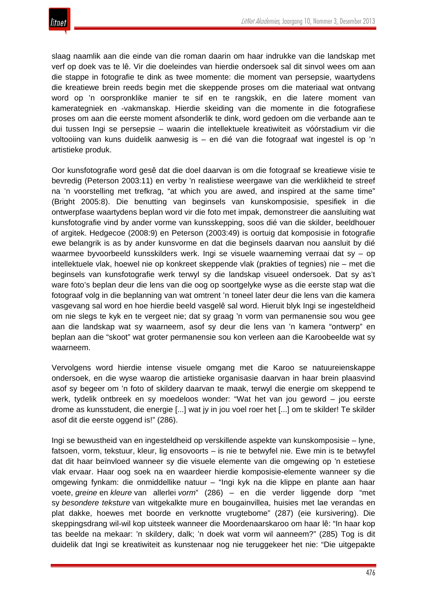

slaag naamlik aan die einde van die roman daarin om haar indrukke van die landskap met verf op doek vas te lê. Vir die doeleindes van hierdie ondersoek sal dit sinvol wees om aan die stappe in fotografie te dink as twee momente: die moment van persepsie, waartydens die kreatiewe brein reeds begin met die skeppende proses om die materiaal wat ontvang word op 'n oorspronklike manier te sif en te rangskik, en die latere moment van kamerategniek en -vakmanskap. Hierdie skeiding van die momente in die fotografiese proses om aan die eerste moment afsonderlik te dink, word gedoen om die verbande aan te dui tussen Ingi se persepsie – waarin die intellektuele kreatiwiteit as vóórstadium vir die voltooiing van kuns duidelik aanwesig is – en dié van die fotograaf wat ingestel is op 'n artistieke produk.

Oor kunsfotografie word gesê dat die doel daarvan is om die fotograaf se kreatiewe visie te bevredig (Peterson 2003:11) en verby 'n realistiese weergawe van die werklikheid te streef na 'n voorstelling met trefkrag, "at which you are awed, and inspired at the same time" (Bright 2005:8). Die benutting van beginsels van kunskomposisie, spesifiek in die ontwerpfase waartydens beplan word vir die foto met impak, demonstreer die aansluiting wat kunsfotografie vind by ander vorme van kunsskepping, soos dié van die skilder, beeldhouer of argitek. Hedgecoe (2008:9) en Peterson (2003:49) is oortuig dat komposisie in fotografie ewe belangrik is as by ander kunsvorme en dat die beginsels daarvan nou aansluit by dié waarmee byvoorbeeld kunsskilders werk. Ingi se visuele waarneming verraai dat sy – op intellektuele vlak, hoewel nie op konkreet skeppende vlak (prakties of tegnies) nie – met die beginsels van kunsfotografie werk terwyl sy die landskap visueel ondersoek. Dat sy as't ware foto's beplan deur die lens van die oog op soortgelyke wyse as die eerste stap wat die fotograaf volg in die beplanning van wat omtrent 'n toneel later deur die lens van die kamera vasgevang sal word en hoe hierdie beeld vasgelê sal word. Hieruit blyk Ingi se ingesteldheid om nie slegs te kyk en te vergeet nie; dat sy graag 'n vorm van permanensie sou wou gee aan die landskap wat sy waarneem, asof sy deur die lens van 'n kamera "ontwerp" en beplan aan die "skoot" wat groter permanensie sou kon verleen aan die Karoobeelde wat sy waarneem.

Vervolgens word hierdie intense visuele omgang met die Karoo se natuureienskappe ondersoek, en die wyse waarop die artistieke organisasie daarvan in haar brein plaasvind asof sy begeer om 'n foto of skildery daarvan te maak, terwyl die energie om skeppend te werk, tydelik ontbreek en sy moedeloos wonder: "Wat het van jou geword – jou eerste drome as kunsstudent, die energie [...] wat jy in jou voel roer het [...] om te skilder! Te skilder asof dit die eerste oggend is!" (286).

Ingi se bewustheid van en ingesteldheid op verskillende aspekte van kunskomposisie – lyne, fatsoen, vorm, tekstuur, kleur, lig ensovoorts – is nie te betwyfel nie. Ewe min is te betwyfel dat dit haar beïnvloed wanneer sy die visuele elemente van die omgewing op 'n estetiese vlak ervaar. Haar oog soek na en waardeer hierdie komposisie-elemente wanneer sy die omgewing fynkam: die onmiddellike natuur – "Ingi kyk na die klippe en plante aan haar voete, *greine* en *kleure* van allerlei *vorm*" (286) – en die verder liggende dorp "met sy *besondere teksture* van witgekalkte mure en bougainvillea, huisies met lae verandas en plat dakke, hoewes met boorde en verknotte vrugtebome" (287) (eie kursivering). Die skeppingsdrang wil-wil kop uitsteek wanneer die Moordenaarskaroo om haar lê: "In haar kop tas beelde na mekaar: 'n skildery, dalk; 'n doek wat vorm wil aanneem?" (285) Tog is dit duidelik dat Ingi se kreatiwiteit as kunstenaar nog nie teruggekeer het nie: "Die uitgepakte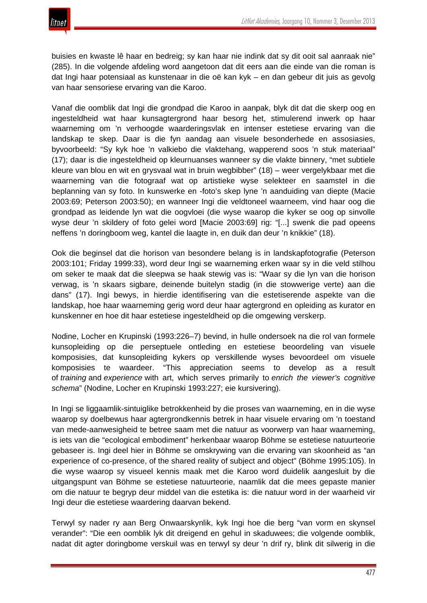buisies en kwaste lê haar en bedreig; sy kan haar nie indink dat sy dit ooit sal aanraak nie" (285). In die volgende afdeling word aangetoon dat dit eers aan die einde van die roman is dat Ingi haar potensiaal as kunstenaar in die oë kan kyk – en dan gebeur dit juis as gevolg van haar sensoriese ervaring van die Karoo.

Vanaf die oomblik dat Ingi die grondpad die Karoo in aanpak, blyk dit dat die skerp oog en ingesteldheid wat haar kunsagtergrond haar besorg het, stimulerend inwerk op haar waarneming om 'n verhoogde waarderingsvlak en intenser estetiese ervaring van die landskap te skep. Daar is die fyn aandag aan visuele besonderhede en assosiasies, byvoorbeeld: "Sy kyk hoe 'n valkiebo die vlaktehang, wapperend soos 'n stuk materiaal" (17); daar is die ingesteldheid op kleurnuanses wanneer sy die vlakte binnery, "met subtiele kleure van blou en wit en grysvaal wat in bruin wegbibber" (18) – weer vergelykbaar met die waarneming van die fotograaf wat op artistieke wyse selekteer en saamstel in die beplanning van sy foto. In kunswerke en -foto's skep lyne 'n aanduiding van diepte (Macie 2003:69; Peterson 2003:50); en wanneer Ingi die veldtoneel waarneem, vind haar oog die grondpad as leidende lyn wat die oogvloei (die wyse waarop die kyker se oog op sinvolle wyse deur 'n skildery of foto gelei word [Macie 2003:69] rig: "[...] swenk die pad opeens neffens 'n doringboom weg, kantel die laagte in, en duik dan deur 'n knikkie" (18).

Ook die beginsel dat die horison van besondere belang is in landskapfotografie (Peterson 2003:101; Friday 1999:33), word deur Ingi se waarneming erken waar sy in die veld stilhou om seker te maak dat die sleepwa se haak stewig vas is: "Waar sy die lyn van die horison verwag, is 'n skaars sigbare, deinende buitelyn stadig (in die stowwerige verte) aan die dans" (17). Ingi bewys, in hierdie identifisering van die estetiserende aspekte van die landskap, hoe haar waarneming gerig word deur haar agtergrond en opleiding as kurator en kunskenner en hoe dit haar estetiese ingesteldheid op die omgewing verskerp.

Nodine, Locher en Krupinski (1993:226–7) bevind, in hulle ondersoek na die rol van formele kunsopleiding op die perseptuele ontleding en estetiese beoordeling van visuele komposisies, dat kunsopleiding kykers op verskillende wyses bevoordeel om visuele komposisies te waardeer. "This appreciation seems to develop as a result of *training* and *experience* with art, which serves primarily to *enrich the viewer's cognitive schema*" (Nodine, Locher en Krupinski 1993:227; eie kursivering).

In Ingi se liggaamlik-sintuiglike betrokkenheid by die proses van waarneming, en in die wyse waarop sy doelbewus haar agtergrondkennis betrek in haar visuele ervaring om 'n toestand van mede-aanwesigheid te betree saam met die natuur as voorwerp van haar waarneming, is iets van die "ecological embodiment" herkenbaar waarop Böhme se estetiese natuurteorie gebaseer is. Ingi deel hier in Böhme se omskrywing van die ervaring van skoonheid as "an experience of co-presence, of the shared reality of subject and object" (Böhme 1995:105). In die wyse waarop sy visueel kennis maak met die Karoo word duidelik aangesluit by die uitgangspunt van Böhme se estetiese natuurteorie, naamlik dat die mees gepaste manier om die natuur te begryp deur middel van die estetika is: die natuur word in der waarheid vir Ingi deur die estetiese waardering daarvan bekend.

Terwyl sy nader ry aan Berg Onwaarskynlik, kyk Ingi hoe die berg "van vorm en skynsel verander": "Die een oomblik lyk dit dreigend en gehul in skaduwees; die volgende oomblik, nadat dit agter doringbome verskuil was en terwyl sy deur 'n drif ry, blink dit silwerig in die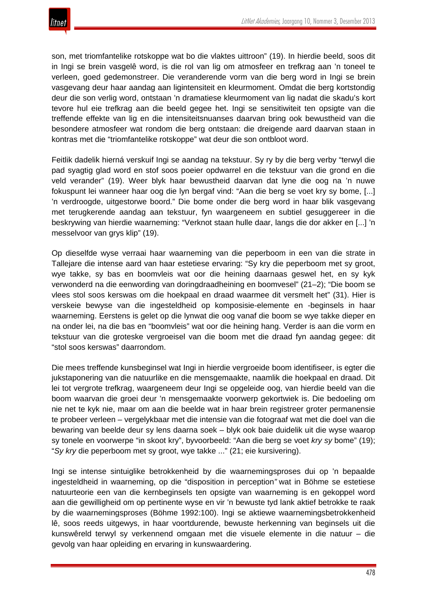son, met triomfantelike rotskoppe wat bo die vlaktes uittroon" (19). In hierdie beeld, soos dit in Ingi se brein vasgelê word, is die rol van lig om atmosfeer en trefkrag aan 'n toneel te verleen, goed gedemonstreer. Die veranderende vorm van die berg word in Ingi se brein vasgevang deur haar aandag aan ligintensiteit en kleurmoment. Omdat die berg kortstondig deur die son verlig word, ontstaan 'n dramatiese kleurmoment van lig nadat die skadu's kort tevore hul eie trefkrag aan die beeld gegee het. Ingi se sensitiwiteit ten opsigte van die treffende effekte van lig en die intensiteitsnuanses daarvan bring ook bewustheid van die besondere atmosfeer wat rondom die berg ontstaan: die dreigende aard daarvan staan in kontras met die "triomfantelike rotskoppe" wat deur die son ontbloot word.

Feitlik dadelik hierná verskuif Ingi se aandag na tekstuur. Sy ry by die berg verby "terwyl die pad syagtig glad word en stof soos poeier opdwarrel en die tekstuur van die grond en die veld verander" (19). Weer blyk haar bewustheid daarvan dat lyne die oog na 'n nuwe fokuspunt lei wanneer haar oog die lyn bergaf vind: "Aan die berg se voet kry sy bome, [...] 'n verdroogde, uitgestorwe boord." Die bome onder die berg word in haar blik vasgevang met terugkerende aandag aan tekstuur, fyn waargeneem en subtiel gesuggereer in die beskrywing van hierdie waarneming: "Verknot staan hulle daar, langs die dor akker en [...] 'n messelvoor van grys klip" (19).

Op dieselfde wyse verraai haar waarneming van die peperboom in een van die strate in Tallejare die intense aard van haar estetiese ervaring: "Sy kry die peperboom met sy groot, wye takke, sy bas en boomvleis wat oor die heining daarnaas geswel het, en sy kyk verwonderd na die eenwording van doringdraadheining en boomvesel" (21–2); "Die boom se vlees stol soos kerswas om die hoekpaal en draad waarmee dit versmelt het" (31). Hier is verskeie bewyse van die ingesteldheid op komposisie-elemente en -beginsels in haar waarneming. Eerstens is gelet op die lynwat die oog vanaf die boom se wye takke dieper en na onder lei, na die bas en "boomvleis" wat oor die heining hang. Verder is aan die vorm en tekstuur van die groteske vergroeisel van die boom met die draad fyn aandag gegee: dit "stol soos kerswas" daarrondom.

Die mees treffende kunsbeginsel wat Ingi in hierdie vergroeide boom identifiseer, is egter die jukstaponering van die natuurlike en die mensgemaakte, naamlik die hoekpaal en draad. Dit lei tot vergrote trefkrag, waargeneem deur Ingi se opgeleide oog, van hierdie beeld van die boom waarvan die groei deur 'n mensgemaakte voorwerp gekortwiek is. Die bedoeling om nie net te kyk nie, maar om aan die beelde wat in haar brein registreer groter permanensie te probeer verleen – vergelykbaar met die intensie van die fotograaf wat met die doel van die bewaring van beelde deur sy lens daarna soek – blyk ook baie duidelik uit die wyse waarop sy tonele en voorwerpe "in skoot kry", byvoorbeeld: "Aan die berg se voet *kry sy* bome" (19); "*Sy kry* die peperboom met sy groot, wye takke ..." (21; eie kursivering).

Ingi se intense sintuiglike betrokkenheid by die waarnemingsproses dui op 'n bepaalde ingesteldheid in waarneming, op die "disposition in perception*"* wat in Böhme se estetiese natuurteorie een van die kernbeginsels ten opsigte van waarneming is en gekoppel word aan die gewilligheid om op pertinente wyse en vir 'n bewuste tyd lank aktief betrokke te raak by die waarnemingsproses (Böhme 1992:100). Ingi se aktiewe waarnemingsbetrokkenheid lê, soos reeds uitgewys, in haar voortdurende, bewuste herkenning van beginsels uit die kunswêreld terwyl sy verkennend omgaan met die visuele elemente in die natuur – die gevolg van haar opleiding en ervaring in kunswaardering.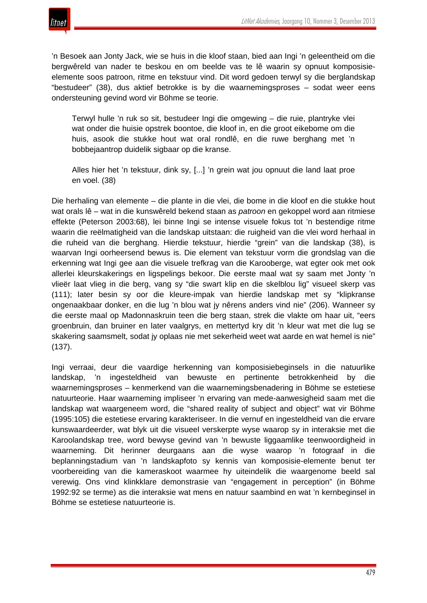



'n Besoek aan Jonty Jack, wie se huis in die kloof staan, bied aan Ingi 'n geleentheid om die bergwêreld van nader te beskou en om beelde vas te lê waarin sy opnuut komposisieelemente soos patroon, ritme en tekstuur vind. Dit word gedoen terwyl sy die berglandskap "bestudeer" (38), dus aktief betrokke is by die waarnemingsproses – sodat weer eens ondersteuning gevind word vir Böhme se teorie.

Terwyl hulle 'n ruk so sit, bestudeer Ingi die omgewing – die ruie, plantryke vlei wat onder die huisie opstrek boontoe, die kloof in, en die groot eikebome om die huis, asook die stukke hout wat oral rondlê, en die ruwe berghang met 'n bobbejaantrop duidelik sigbaar op die kranse.

Alles hier het 'n tekstuur, dink sy, [...] 'n grein wat jou opnuut die land laat proe en voel. (38)

Die herhaling van elemente – die plante in die vlei, die bome in die kloof en die stukke hout wat orals lê – wat in die kunswêreld bekend staan as *patroon* en gekoppel word aan ritmiese effekte (Peterson 2003:68), lei binne Ingi se intense visuele fokus tot 'n bestendige ritme waarin die reëlmatigheid van die landskap uitstaan: die ruigheid van die vlei word herhaal in die ruheid van die berghang. Hierdie tekstuur, hierdie "grein" van die landskap (38), is waarvan Ingi oorheersend bewus is. Die element van tekstuur vorm die grondslag van die erkenning wat Ingi gee aan die visuele trefkrag van die Karooberge, wat egter ook met ook allerlei kleurskakerings en ligspelings bekoor. Die eerste maal wat sy saam met Jonty 'n vlieër laat vlieg in die berg, vang sy "die swart klip en die skelblou lig" visueel skerp vas (111); later besin sy oor die kleure-impak van hierdie landskap met sy "klipkranse ongenaakbaar donker, en die lug 'n blou wat jy nêrens anders vind nie" (206). Wanneer sy die eerste maal op Madonnaskruin teen die berg staan, strek die vlakte om haar uit, "eers groenbruin, dan bruiner en later vaalgrys, en mettertyd kry dit 'n kleur wat met die lug se skakering saamsmelt, sodat jy oplaas nie met sekerheid weet wat aarde en wat hemel is nie" (137).

Ingi verraai, deur die vaardige herkenning van komposisiebeginsels in die natuurlike landskap, 'n ingesteldheid van bewuste en pertinente betrokkenheid by die waarnemingsproses – kenmerkend van die waarnemingsbenadering in Böhme se estetiese natuurteorie. Haar waarneming impliseer 'n ervaring van mede-aanwesigheid saam met die landskap wat waargeneem word, die "shared reality of subject and object" wat vir Böhme (1995:105) die estetiese ervaring karakteriseer. In die vernuf en ingesteldheid van die ervare kunswaardeerder, wat blyk uit die visueel verskerpte wyse waarop sy in interaksie met die Karoolandskap tree, word bewyse gevind van 'n bewuste liggaamlike teenwoordigheid in waarneming. Dit herinner deurgaans aan die wyse waarop 'n fotograaf in die beplanningstadium van 'n landskapfoto sy kennis van komposisie-elemente benut ter voorbereiding van die kameraskoot waarmee hy uiteindelik die waargenome beeld sal verewig. Ons vind klinkklare demonstrasie van "engagement in perception" (in Böhme 1992:92 se terme) as die interaksie wat mens en natuur saambind en wat 'n kernbeginsel in Böhme se estetiese natuurteorie is.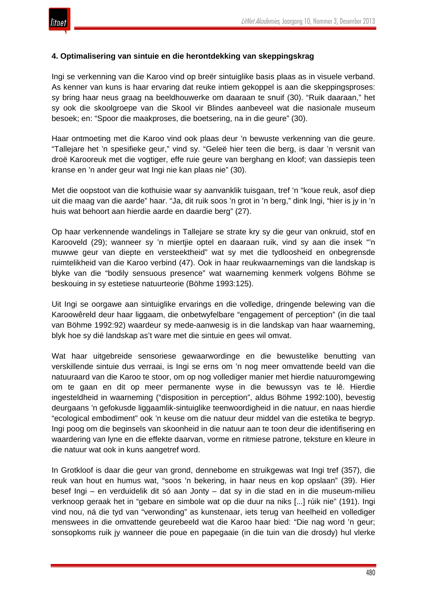

## **4. Optimalisering van sintuie en die herontdekking van skeppingskrag**

Ingi se verkenning van die Karoo vind op breër sintuiglike basis plaas as in visuele verband. As kenner van kuns is haar ervaring dat reuke intiem gekoppel is aan die skeppingsproses: sy bring haar neus graag na beeldhouwerke om daaraan te snuif (30). "Ruik daaraan," het sy ook die skoolgroepe van die Skool vir Blindes aanbeveel wat die nasionale museum besoek; en: "Spoor die maakproses, die boetsering, na in die geure" (30).

Haar ontmoeting met die Karoo vind ook plaas deur 'n bewuste verkenning van die geure. "Tallejare het 'n spesifieke geur," vind sy. "Geleë hier teen die berg, is daar 'n versnit van droë Karooreuk met die vogtiger, effe ruie geure van berghang en kloof; van dassiepis teen kranse en 'n ander geur wat Ingi nie kan plaas nie" (30).

Met die oopstoot van die kothuisie waar sy aanvanklik tuisgaan, tref 'n "koue reuk, asof diep uit die maag van die aarde" haar. "Ja, dit ruik soos 'n grot in 'n berg," dink Ingi, "hier is jy in 'n huis wat behoort aan hierdie aarde en daardie berg" (27).

Op haar verkennende wandelings in Tallejare se strate kry sy die geur van onkruid, stof en Karooveld (29); wanneer sy 'n miertjie optel en daaraan ruik, vind sy aan die insek "'n muwwe geur van diepte en versteektheid" wat sy met die tydloosheid en onbegrensde ruimtelikheid van die Karoo verbind (47). Ook in haar reukwaarnemings van die landskap is blyke van die "bodily sensuous presence" wat waarneming kenmerk volgens Böhme se beskouing in sy estetiese natuurteorie (Böhme 1993:125).

Uit Ingi se oorgawe aan sintuiglike ervarings en die volledige, dringende belewing van die Karoowêreld deur haar liggaam, die onbetwyfelbare "engagement of perception" (in die taal van Böhme 1992:92) waardeur sy mede-aanwesig is in die landskap van haar waarneming, blyk hoe sy dié landskap as't ware met die sintuie en gees wil omvat.

Wat haar uitgebreide sensoriese gewaarwordinge en die bewustelike benutting van verskillende sintuie dus verraai, is Ingi se erns om 'n nog meer omvattende beeld van die natuuraard van die Karoo te stoor, om op nog vollediger manier met hierdie natuuromgewing om te gaan en dit op meer permanente wyse in die bewussyn vas te lê. Hierdie ingesteldheid in waarneming ("disposition in perception", aldus Böhme 1992:100), bevestig deurgaans 'n gefokusde liggaamlik-sintuiglike teenwoordigheid in die natuur, en naas hierdie "ecological embodiment" ook 'n keuse om die natuur deur middel van die estetika te begryp. Ingi poog om die beginsels van skoonheid in die natuur aan te toon deur die identifisering en waardering van lyne en die effekte daarvan, vorme en ritmiese patrone, teksture en kleure in die natuur wat ook in kuns aangetref word.

In Grotkloof is daar die geur van grond, dennebome en struikgewas wat Ingi tref (357), die reuk van hout en humus wat, "soos 'n bekering, in haar neus en kop opslaan" (39). Hier besef Ingi – en verduidelik dit só aan Jonty – dat sy in die stad en in die museum-milieu verknoop geraak het in "gebare en simbole wat op die duur na niks [...] rúik nie" (191). Ingi vind nou, ná die tyd van "verwonding" as kunstenaar, iets terug van heelheid en vollediger menswees in die omvattende geurebeeld wat die Karoo haar bied: "Die nag word 'n geur; sonsopkoms ruik jy wanneer die poue en papegaaie (in die tuin van die drosdy) hul vlerke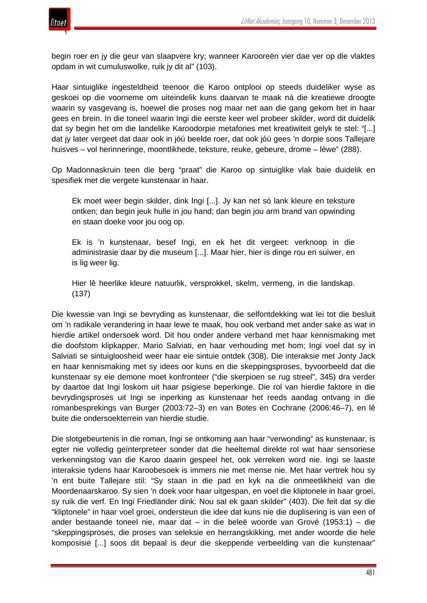

begin roer en jy die geur van slaapvere kry; wanneer Karooreën vier dae ver op die vlaktes opdam in wit cumuluswolke, ruik jy dit al" (103).

Haar sintuiglike ingesteldheid teenoor die Karoo ontplooi op steeds duideliker wyse as geskoei op die voorneme om uiteindelik kuns daarvan te maak ná die kreatiewe droogte waarin sy vasgevang is, hoewel die proses nog maar net aan die gang gekom het in haar gees en brein. In die toneel waarin Ingi die eerste keer wel probeer skilder, word dit duidelik dat sy begin het om die landelike Karoodorpie metafories met kreatiwiteit gelyk te stel: "[...] dat jy later vergeet dat daar ook in jóú beelde roer, dat ook jóú gees 'n dorpie soos Tallejare huisves – vol herinneringe, moontlikhede, teksture, reuke, gebeure, drome – léwe" (288).

Op Madonnaskruin teen die berg "praat" die Karoo op sintuiglike vlak baie duidelik en spesifiek met die vergete kunstenaar in haar.

Ek moet weer begin skilder, dink Ingi [...]. Jy kan net só lank kleure en teksture ontken; dan begin jeuk hulle in jou hand; dan begin jou arm brand van opwinding en staan doeke voor jou oog op.

Ek is 'n kunstenaar, besef Ingi, en ek het dit vergeet: verknoop in die administrasie daar by die museum [...]. Maar hier, hier is dinge rou en suiwer, en is lig weer lig.

Hier lê heerlike kleure natuurlik, versprokkel, skelm, vermeng, in die landskap. (137)

Die kwessie van Ingi se bevryding as kunstenaar, die selfontdekking wat lei tot die besluit om 'n radikale verandering in haar lewe te maak, hou ook verband met ander sake as wat in hierdie artikel ondersoek word. Dit hou onder andere verband met haar kennismaking met die doofstom klipkapper, Mario Salviati, en haar verhouding met hom; Ingi voel dat sy in Salviati se sintuigloosheid weer haar eie sintuie ontdek (308). Die interaksie met Jonty Jack en haar kennismaking met sy idees oor kuns en die skeppingsproses, byvoorbeeld dat die kunstenaar sy eie demone moet konfronteer ("die skerpioen se rug streel", 345) dra verder by daartoe dat Ingi loskom uit haar psigiese beperkinge. Die rol van hierdie faktore in die bevrydingsproses uit Ingi se inperking as kunstenaar het reeds aandag ontvang in die romanbesprekings van Burger (2003:72–3) en van Botes en Cochrane (2006:46–7), en lê buite die ondersoekterrein van hierdie studie.

Die slotgebeurtenis in die roman, Ingi se ontkoming aan haar "verwonding" as kunstenaar, is egter nie volledig geïnterpreteer sonder dat die heeltemal direkte rol wat haar sensoriese verkenningstog van die Karoo daarin gespeel het, ook verreken word nie. Ingi se laaste interaksie tydens haar Karoobesoek is immers nie met mense nie. Met haar vertrek hou sy 'n ent buite Tallejare stil: "Sy staan in die pad en kyk na die onmeetlikheid van die Moordenaarskaroo. Sy sien 'n doek voor haar uitgespan, en voel die kliptonele in haar groei, sy ruik die verf. En Ingi Friedländer dink: Nou sal ek gaan skilder" (403). Die feit dat sy die "kliptonele" in haar voel groei, ondersteun die idee dat kuns nie die duplisering is van een of ander bestaande toneel nie, maar dat – in die beleë woorde van Grové (1953:1) – die "skeppingsproses, die proses van seleksie en herrangskikking, met ander woorde die hele komposisie [...] soos dit bepaal is deur die skeppende verbeelding van die kunstenaar"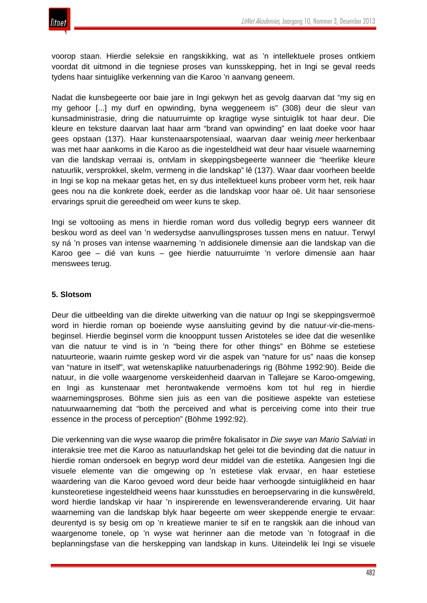

voorop staan. Hierdie seleksie en rangskikking, wat as 'n intellektuele proses ontkiem voordat dit uitmond in die tegniese proses van kunsskepping, het in Ingi se geval reeds tydens haar sintuiglike verkenning van die Karoo 'n aanvang geneem.

Nadat die kunsbegeerte oor baie jare in Ingi gekwyn het as gevolg daarvan dat "my sig en my gehoor [...] my durf en opwinding, byna weggeneem is" (308) deur die sleur van kunsadministrasie, dring die natuurruimte op kragtige wyse sintuiglik tot haar deur. Die kleure en teksture daarvan laat haar arm "brand van opwinding" en laat doeke voor haar gees opstaan (137). Haar kunstenaarspotensiaal, waarvan daar weinig *meer* herkenbaar was met haar aankoms in die Karoo as die ingesteldheid wat deur haar visuele waarneming van die landskap verraai is, ontvlam in skeppingsbegeerte wanneer die "heerlike kleure natuurlik, versprokkel, skelm, vermeng in die landskap" lê (137). Waar daar voorheen beelde in Ingi se kop na mekaar getas het, en sy dus intellektueel kuns probeer vorm het, reik haar gees nou na die konkrete doek, eerder as die landskap voor haar oë. Uit haar sensoriese ervarings spruit die gereedheid om weer kuns te skep.

Ingi se voltooiing as mens in hierdie roman word dus volledig begryp eers wanneer dit beskou word as deel van 'n wedersydse aanvullingsproses tussen mens en natuur. Terwyl sy ná 'n proses van intense waarneming 'n addisionele dimensie aan die landskap van die Karoo gee – dié van kuns – gee hierdie natuurruimte 'n verlore dimensie aan haar menswees terug.

# **5. Slotsom**

Deur die uitbeelding van die direkte uitwerking van die natuur op Ingi se skeppingsvermoë word in hierdie roman op boeiende wyse aansluiting gevind by die natuur-vir-die-mensbeginsel. Hierdie beginsel vorm die knooppunt tussen Aristoteles se idee dat die wesenlike van die natuur te vind is in 'n "being there for other things" en Böhme se estetiese natuurteorie, waarin ruimte geskep word vir die aspek van "nature for us" naas die konsep van "nature in itself", wat wetenskaplike natuurbenaderings rig (Böhme 1992:90). Beide die natuur, in die volle waargenome verskeidenheid daarvan in Tallejare se Karoo-omgewing, en Ingi as kunstenaar met herontwakende vermoëns kom tot hul reg in hierdie waarnemingsproses. Böhme sien juis as een van die positiewe aspekte van estetiese natuurwaarneming dat "both the perceived and what is perceiving come into their true essence in the process of perception" (Böhme 1992:92).

Die verkenning van die wyse waarop die primêre fokalisator in *Die swye van Mario Salviati* in interaksie tree met die Karoo as natuurlandskap het gelei tot die bevinding dat die natuur in hierdie roman ondersoek en begryp word deur middel van die estetika. Aangesien Ingi die visuele elemente van die omgewing op 'n estetiese vlak ervaar, en haar estetiese waardering van die Karoo gevoed word deur beide haar verhoogde sintuiglikheid en haar kunsteoretiese ingesteldheid weens haar kunsstudies en beroepservaring in die kunswêreld, word hierdie landskap vir haar 'n inspirerende en lewensveranderende ervaring. Uit haar waarneming van die landskap blyk haar begeerte om weer skeppende energie te ervaar: deurentyd is sy besig om op 'n kreatiewe manier te sif en te rangskik aan die inhoud van waargenome tonele, op 'n wyse wat herinner aan die metode van 'n fotograaf in die beplanningsfase van die herskepping van landskap in kuns. Uiteindelik lei Ingi se visuele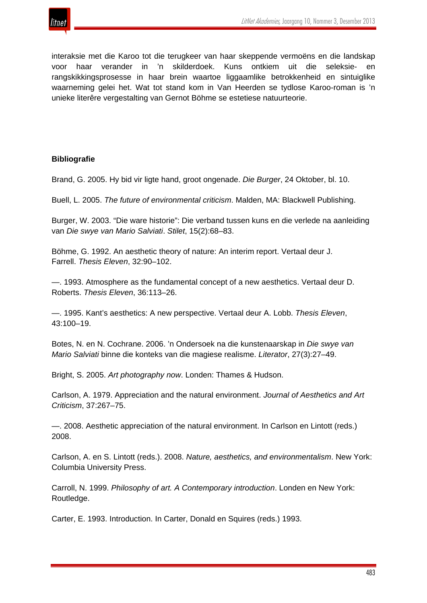

interaksie met die Karoo tot die terugkeer van haar skeppende vermoëns en die landskap voor haar verander in 'n skilderdoek. Kuns ontkiem uit die seleksie- en rangskikkingsprosesse in haar brein waartoe liggaamlike betrokkenheid en sintuiglike waarneming gelei het. Wat tot stand kom in Van Heerden se tydlose Karoo-roman is 'n unieke literêre vergestalting van Gernot Böhme se estetiese natuurteorie.

# **Bibliografie**

Brand, G. 2005. Hy bid vir ligte hand, groot ongenade. *Die Burger*, 24 Oktober, bl. 10.

Buell, L. 2005. *The future of environmental criticism*. Malden, MA: Blackwell Publishing.

Burger, W. 2003. "Die ware historie": Die verband tussen kuns en die verlede na aanleiding van *Die swye van Mario Salviati*. *Stilet*, 15(2):68–83.

Böhme, G. 1992. An aesthetic theory of nature: An interim report. Vertaal deur J. Farrell. *Thesis Eleven*, 32:90–102.

—. 1993. Atmosphere as the fundamental concept of a new aesthetics. Vertaal deur D. Roberts. *Thesis Eleven*, 36:113–26.

—. 1995. Kant's aesthetics: A new perspective. Vertaal deur A. Lobb. *Thesis Eleven*, 43:100–19.

Botes, N. en N. Cochrane. 2006. 'n Ondersoek na die kunstenaarskap in *Die swye van Mario Salviati* binne die konteks van die magiese realisme. *Literator*, 27(3):27–49.

Bright, S. 2005. *Art photography now*. Londen: Thames & Hudson.

Carlson, A. 1979. Appreciation and the natural environment. *Journal of Aesthetics and Art Criticism*, 37:267–75.

—. 2008. Aesthetic appreciation of the natural environment. In Carlson en Lintott (reds.) 2008.

Carlson, A. en S. Lintott (reds.). 2008. *Nature, aesthetics, and environmentalism*. New York: Columbia University Press.

Carroll, N. 1999. *Philosophy of art. A Contemporary introduction*. Londen en New York: Routledge.

Carter, E. 1993. Introduction. In Carter, Donald en Squires (reds.) 1993.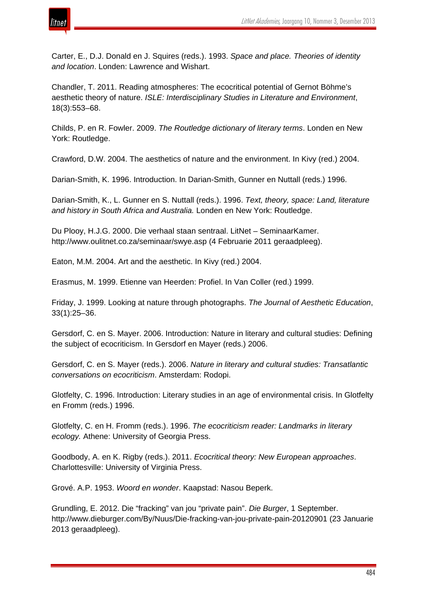

Carter, E., D.J. Donald en J. Squires (reds.). 1993. *Space and place. Theories of identity and location*. Londen: Lawrence and Wishart.

Chandler, T. 2011. Reading atmospheres: The ecocritical potential of Gernot Böhme's aesthetic theory of nature. *ISLE: Interdisciplinary Studies in Literature and Environment*, 18(3):553–68.

Childs, P. en R. Fowler. 2009. *The Routledge dictionary of literary terms*. Londen en New York: Routledge.

Crawford, D.W. 2004. The aesthetics of nature and the environment. In Kivy (red.) 2004.

Darian-Smith, K. 1996. Introduction. In Darian-Smith, Gunner en Nuttall (reds.) 1996.

Darian-Smith, K., L. Gunner en S. Nuttall (reds.). 1996. *Text, theory, space: Land, literature and history in South Africa and Australia.* Londen en New York: Routledge.

Du Plooy, H.J.G. 2000. Die verhaal staan sentraal. LitNet – SeminaarKamer. http://www.oulitnet.co.za/seminaar/swye.asp (4 Februarie 2011 geraadpleeg).

Eaton, M.M. 2004. Art and the aesthetic. In Kivy (red.) 2004.

Erasmus, M. 1999. Etienne van Heerden: Profiel. In Van Coller (red.) 1999.

Friday, J. 1999. Looking at nature through photographs. *The Journal of Aesthetic Education*, 33(1):25–36.

Gersdorf, C. en S. Mayer. 2006. Introduction: Nature in literary and cultural studies: Defining the subject of ecocriticism. In Gersdorf en Mayer (reds.) 2006.

Gersdorf, C. en S. Mayer (reds.). 2006. *Nature in literary and cultural studies: Transatlantic conversations on ecocriticism*. Amsterdam: Rodopi.

Glotfelty, C. 1996. Introduction: Literary studies in an age of environmental crisis. In Glotfelty en Fromm (reds.) 1996.

Glotfelty, C. en H. Fromm (reds.). 1996. *The ecocriticism reader: Landmarks in literary ecology.* Athene: University of Georgia Press.

Goodbody, A. en K. Rigby (reds.). 2011. *Ecocritical theory: New European approaches*. Charlottesville: University of Virginia Press.

Grové. A.P. 1953. *Woord en wonder*. Kaapstad: Nasou Beperk.

Grundling, E. 2012. Die "fracking" van jou "private pain". *Die Burger*, 1 September. http://www.dieburger.com/By/Nuus/Die-fracking-van-jou-private-pain-20120901 (23 Januarie 2013 geraadpleeg).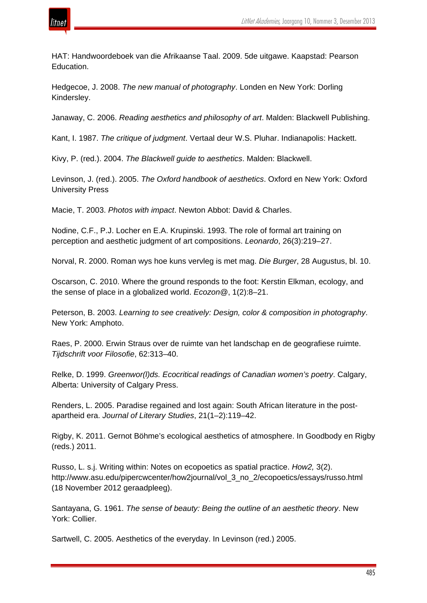

HAT: Handwoordeboek van die Afrikaanse Taal. 2009. 5de uitgawe. Kaapstad: Pearson Education.

Hedgecoe, J. 2008. *The new manual of photography*. Londen en New York: Dorling Kindersley.

Janaway, C. 2006. *Reading aesthetics and philosophy of art*. Malden: Blackwell Publishing.

Kant, I. 1987. *The critique of judgment*. Vertaal deur W.S. Pluhar. Indianapolis: Hackett.

Kivy, P. (red.). 2004. *The Blackwell guide to aesthetics*. Malden: Blackwell.

Levinson, J. (red.). 2005. *The Oxford handbook of aesthetics*. Oxford en New York: Oxford University Press

Macie, T. 2003. *Photos with impact*. Newton Abbot: David & Charles.

Nodine, C.F., P.J. Locher en E.A. Krupinski. 1993. The role of formal art training on perception and aesthetic judgment of art compositions. *Leonardo*, 26(3):219–27.

Norval, R. 2000. Roman wys hoe kuns vervleg is met mag. *Die Burger*, 28 Augustus, bl. 10.

Oscarson, C. 2010. Where the ground responds to the foot: Kerstin Elkman, ecology, and the sense of place in a globalized world. *Ecozon@*, 1(2):8–21.

Peterson, B. 2003. *Learning to see creatively: Design, color & composition in photography*. New York: Amphoto.

Raes, P. 2000. Erwin Straus over de ruimte van het landschap en de geografiese ruimte. *Tijdschrift voor Filosofie*, 62:313–40.

Relke, D. 1999. *Greenwor(l)ds. Ecocritical readings of Canadian women's poetry*. Calgary, Alberta: University of Calgary Press.

Renders, L. 2005. Paradise regained and lost again: South African literature in the postapartheid era. *Journal of Literary Studies*, 21(1–2):119–42.

Rigby, K. 2011. Gernot Böhme's ecological aesthetics of atmosphere. In Goodbody en Rigby (reds.) 2011.

Russo, L. s.j. Writing within: Notes on ecopoetics as spatial practice. *How2,* 3(2). http://www.asu.edu/pipercwcenter/how2journal/vol\_3\_no\_2/ecopoetics/essays/russo.html (18 November 2012 geraadpleeg).

Santayana, G. 1961. *The sense of beauty: Being the outline of an aesthetic theory*. New York: Collier.

Sartwell, C. 2005. Aesthetics of the everyday. In Levinson (red.) 2005.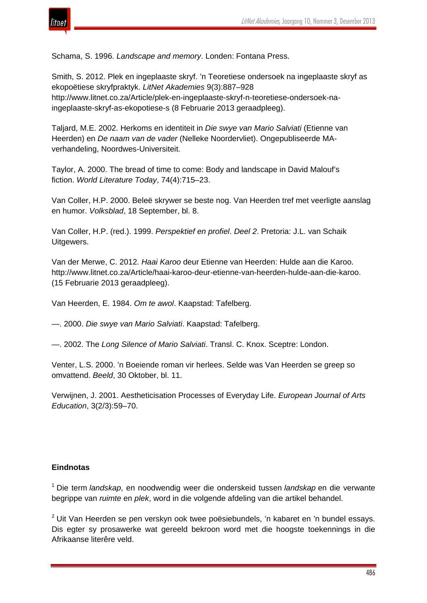

Schama, S. 1996. *Landscape and memory*. Londen: Fontana Press.

Smith, S. 2012. Plek en ingeplaaste skryf. 'n Teoretiese ondersoek na ingeplaaste skryf as ekopoëtiese skryfpraktyk. *LitNet Akademies* 9(3):887–928 http://www.litnet.co.za/Article/plek-en-ingeplaaste-skryf-n-teoretiese-ondersoek-naingeplaaste-skryf-as-ekopotiese-s (8 Februarie 2013 geraadpleeg).

Taljard, M.E. 2002. Herkoms en identiteit in *Die swye van Mario Salviati* (Etienne van Heerden) en *De naam van de vader* (Nelleke Noordervliet). Ongepubliseerde MAverhandeling, Noordwes-Universiteit.

Taylor, A. 2000. The bread of time to come: Body and landscape in David Malouf's fiction. *World Literature Today*, 74(4):715–23.

Van Coller, H.P. 2000. Beleë skrywer se beste nog. Van Heerden tref met veerligte aanslag en humor. *Volksblad*, 18 September, bl. 8.

Van Coller, H.P. (red.). 1999. *Perspektief en profiel*. *Deel 2*. Pretoria: J.L. van Schaik Uitgewers.

Van der Merwe, C. 2012. *Haai Karoo* deur Etienne van Heerden: Hulde aan die Karoo. http://www.litnet.co.za/Article/haai-karoo-deur-etienne-van-heerden-hulde-aan-die-karoo. (15 Februarie 2013 geraadpleeg).

Van Heerden, E. 1984. *Om te awol*. Kaapstad: Tafelberg.

—. 2000. *Die swye van Mario Salviati*. Kaapstad: Tafelberg.

—. 2002. The *Long Silence of Mario Salviati*. Transl. C. Knox. Sceptre: London.

Venter, L.S. 2000. 'n Boeiende roman vir herlees. Selde was Van Heerden se greep so omvattend. *Beeld*, 30 Oktober, bl. 11.

Verwijnen, J. 2001. Aestheticisation Processes of Everyday Life. *European Journal of Arts Education*, 3(2/3):59–70.

#### **Eindnotas**

<sup>1</sup> Die term *landskap*, en noodwendig weer die onderskeid tussen *landskap* en die verwante begrippe van *ruimte* en *plek*, word in die volgende afdeling van die artikel behandel.

 $2$  Uit Van Heerden se pen verskyn ook twee poësiebundels, 'n kabaret en 'n bundel essays. Dis egter sy prosawerke wat gereeld bekroon word met die hoogste toekennings in die Afrikaanse literêre veld.